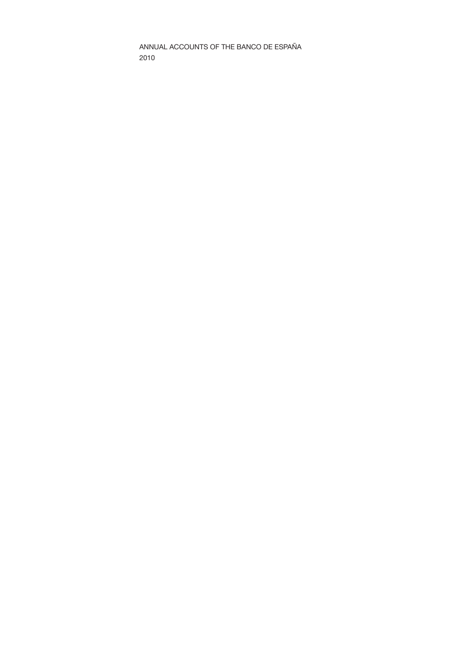ANNUAL ACCOUNTS OF THE BANCO DE ESPAÑA 2010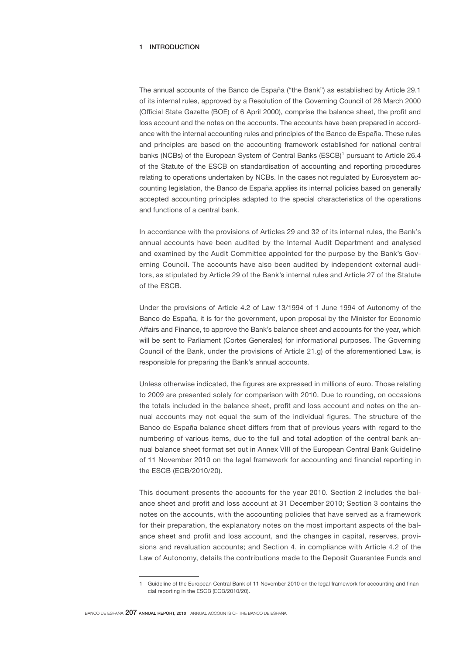# 1 INTRODUCTION

The annual accounts of the Banco de España ("the Bank") as established by Article 29.1 of its internal rules, approved by a Resolution of the Governing Council of 28 March 2000 (Official State Gazette (BOE) of 6 April 2000), comprise the balance sheet, the profit and loss account and the notes on the accounts. The accounts have been prepared in accordance with the internal accounting rules and principles of the Banco de España. These rules and principles are based on the accounting framework established for national central banks (NCBs) of the European System of Central Banks (ESCB)<sup>1</sup> pursuant to Article 26.4 of the Statute of the ESCB on standardisation of accounting and reporting procedures relating to operations undertaken by NCBs. In the cases not regulated by Eurosystem accounting legislation, the Banco de España applies its internal policies based on generally accepted accounting principles adapted to the special characteristics of the operations and functions of a central bank.

In accordance with the provisions of Articles 29 and 32 of its internal rules, the Bank's annual accounts have been audited by the Internal Audit Department and analysed and examined by the Audit Committee appointed for the purpose by the Bank's Governing Council. The accounts have also been audited by independent external auditors, as stipulated by Article 29 of the Bank's internal rules and Article 27 of the Statute of the ESCB.

Under the provisions of Article 4.2 of Law 13/1994 of 1 June 1994 of Autonomy of the Banco de España, it is for the government, upon proposal by the Minister for Economic Affairs and Finance, to approve the Bank's balance sheet and accounts for the year, which will be sent to Parliament (Cortes Generales) for informational purposes. The Governing Council of the Bank, under the provisions of Article 21.g) of the aforementioned Law, is responsible for preparing the Bank's annual accounts.

Unless otherwise indicated, the figures are expressed in millions of euro. Those relating to 2009 are presented solely for comparison with 2010. Due to rounding, on occasions the totals included in the balance sheet, profit and loss account and notes on the annual accounts may not equal the sum of the individual figures. The structure of the Banco de España balance sheet differs from that of previous years with regard to the numbering of various items, due to the full and total adoption of the central bank annual balance sheet format set out in Annex VIII of the European Central Bank Guideline of 11 November 2010 on the legal framework for accounting and financial reporting in the ESCB (ECB/2010/20).

This document presents the accounts for the year 2010. Section 2 includes the balance sheet and profit and loss account at 31 December 2010; Section 3 contains the notes on the accounts, with the accounting policies that have served as a framework for their preparation, the explanatory notes on the most important aspects of the balance sheet and profit and loss account, and the changes in capital, reserves, provisions and revaluation accounts; and Section 4, in compliance with Article 4.2 of the Law of Autonomy, details the contributions made to the Deposit Guarantee Funds and

<sup>1</sup> Guideline of the European Central Bank of 11 November 2010 on the legal framework for accounting and financial reporting in the ESCB (ECB/2010/20).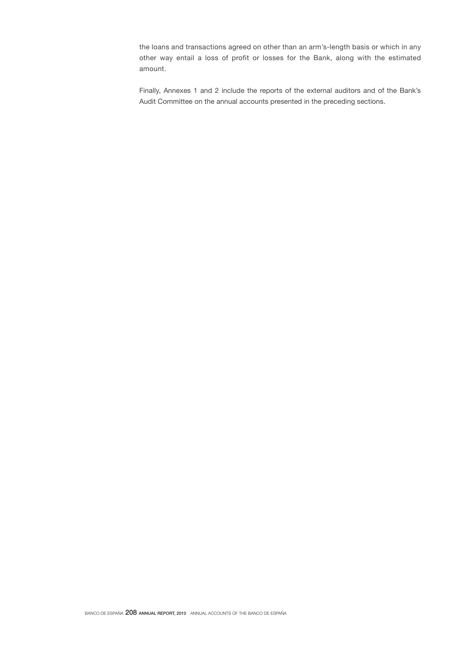the loans and transactions agreed on other than an arm's-length basis or which in any other way entail a loss of profit or losses for the Bank, along with the estimated amount.

Finally, Annexes 1 and 2 include the reports of the external auditors and of the Bank's Audit Committee on the annual accounts presented in the preceding sections.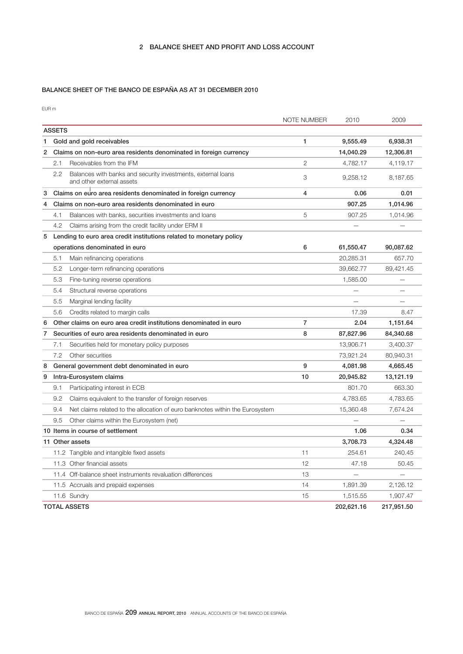# BALANCE SHEET OF THE BANCO DE ESPAÑA AS AT 31 DECEMBER 2010

EUR m

|   |               |                                                                                           | NOTE NUMBER    | 2010       | 2009       |
|---|---------------|-------------------------------------------------------------------------------------------|----------------|------------|------------|
|   | <b>ASSETS</b> |                                                                                           |                |            |            |
| 1 |               | Gold and gold receivables                                                                 | 1              | 9,555.49   | 6,938.31   |
| 2 |               | Claims on non-euro area residents denominated in foreign currency                         |                | 14,040.29  | 12,306.81  |
|   | 2.1           | Receivables from the IFM                                                                  | $\overline{2}$ | 4,782.17   | 4,119.17   |
|   | 2.2           | Balances with banks and security investments, external loans<br>and other external assets | 3              | 9,258.12   | 8,187.65   |
| 3 |               | Claims on euro area residents denominated in foreign currency                             | 4              | 0.06       | 0.01       |
| 4 |               | Claims on non-euro area residents denominated in euro                                     |                | 907.25     | 1,014.96   |
|   | 4.1           | Balances with banks, securities investments and loans                                     | 5              | 907.25     | 1,014.96   |
|   | 4.2           | Claims arising from the credit facility under ERM II                                      |                |            |            |
| 5 |               | Lending to euro area credit institutions related to monetary policy                       |                |            |            |
|   |               | operations denominated in euro                                                            | 6              | 61,550.47  | 90,087.62  |
|   | 5.1           | Main refinancing operations                                                               |                | 20,285.31  | 657.70     |
|   | 5.2           | Longer-term refinancing operations                                                        |                | 39,662.77  | 89,421.45  |
|   | 5.3           | Fine-tuning reverse operations                                                            |                | 1,585.00   |            |
|   | 5.4           | Structural reverse operations                                                             |                |            |            |
|   | 5.5           | Marginal lending facility                                                                 |                |            |            |
|   | 5.6           | Credits related to margin calls                                                           |                | 17.39      | 8.47       |
| 6 |               | Other claims on euro area credit institutions denominated in euro                         | 7              | 2.04       | 1,151.64   |
| 7 |               | Securities of euro area residents denominated in euro                                     | 8              | 87,827.96  | 84,340.68  |
|   | 7.1           | Securities held for monetary policy purposes                                              |                | 13,906.71  | 3,400.37   |
|   | 7.2           | Other securities                                                                          |                | 73,921.24  | 80,940.31  |
| 8 |               | General government debt denominated in euro                                               | 9              | 4,081.98   | 4,665.45   |
| 9 |               | Intra-Eurosystem claims                                                                   | 10             | 20,945.82  | 13,121.19  |
|   | 9.1           | Participating interest in ECB                                                             |                | 801.70     | 663.30     |
|   | 9.2           | Claims equivalent to the transfer of foreign reserves                                     |                | 4,783.65   | 4,783.65   |
|   | 9.4           | Net claims related to the allocation of euro banknotes within the Eurosystem              |                | 15,360.48  | 7,674.24   |
|   | 9.5           | Other claims within the Eurosystem (net)                                                  |                |            |            |
|   |               | 10 Items in course of settlement                                                          |                | 1.06       | 0.34       |
|   |               | 11 Other assets                                                                           |                | 3,708.73   | 4,324.48   |
|   |               | 11.2 Tangible and intangible fixed assets                                                 | 11             | 254.61     | 240.45     |
|   |               | 11.3 Other financial assets                                                               | 12             | 47.18      | 50.45      |
|   |               | 11.4 Off-balance sheet instruments revaluation differences                                | 13             |            |            |
|   |               | 11.5 Accruals and prepaid expenses                                                        | 14             | 1,891.39   | 2,126.12   |
|   |               | 11.6 Sundry                                                                               | 15             | 1,515.55   | 1,907.47   |
|   |               | <b>TOTAL ASSETS</b>                                                                       |                | 202,621.16 | 217,951.50 |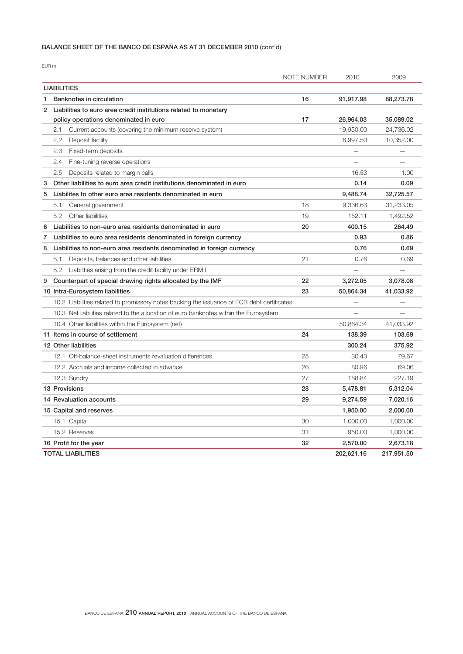# BALANCE SHEET OF THE BANCO DE ESPAÑA AS AT 31 DECEMBER 2010 (cont'd)

|                    |                                                                                            | <b>NOTE NUMBER</b> | 2010       | 2009       |
|--------------------|--------------------------------------------------------------------------------------------|--------------------|------------|------------|
| <b>LIABILITIES</b> |                                                                                            |                    |            |            |
| 1                  | Banknotes in circulation                                                                   | 16                 | 91,917.98  | 88,273.78  |
| 2                  | Liabilities to euro area credit institutions related to monetary                           |                    |            |            |
|                    | policy operations denominated in euro                                                      | 17                 | 26,964.03  | 35,089.02  |
| 2.1                | Current accounts (covering the minimum reserve system)                                     |                    | 19,950.00  | 24,736.02  |
| 2.2                | Deposit facility                                                                           |                    | 6,997.50   | 10,352.00  |
| 2.3                | Fixed-term deposits                                                                        |                    |            |            |
| 2.4                | Fine-tuning reverse operations                                                             |                    |            |            |
| 2.5                | Deposits related to margin calls                                                           |                    | 16.53      | 1.00       |
| 3                  | Other liabilities to euro area credit institutions denominated in euro                     |                    | 0.14       | 0.09       |
| 5                  | Liabilites to other euro area residents denominated in euro                                |                    | 9,488.74   | 32,725.57  |
| 5.1                | General government                                                                         | 18                 | 9,336.63   | 31,233.05  |
| 5.2                | Other liabilities                                                                          | 19                 | 152.11     | 1,492.52   |
| 6                  | Liabilities to non-euro area residents denominated in euro                                 | 20                 | 400.15     | 264.49     |
| 7                  | Liabilities to euro area residents denominated in foreign currency                         |                    | 0.93       | 0.86       |
| 8                  | Liabilities to non-euro area residents denominated in foreign currency                     |                    | 0.76       | 0.69       |
| 8.1                | Deposits, balances and other liabilities                                                   | 21                 | 0.76       | 0.69       |
| 8.2                | Liabilities arising from the credit facility under ERM II                                  |                    |            | -          |
| 9                  | Counterpart of special drawing rights allocated by the IMF                                 | 22                 | 3,272.05   | 3,078.08   |
|                    | 10 Intra-Eurosystem liabilities                                                            | 23                 | 50,864.34  | 41,033.92  |
|                    | 10.2 Liabilities related to promissory notes backing the issuance of ECB debt certificates |                    |            |            |
|                    | 10.3 Net liabilities related to the allocation of euro banknotes within the Eurosystem     |                    |            |            |
|                    | 10.4 Other liabilities within the Eurosystem (net)                                         |                    | 50,864.34  | 41,033.92  |
|                    | 11 Items in course of settlement                                                           | 24                 | 138.39     | 103.69     |
|                    | 12 Other liabilities                                                                       |                    | 300.24     | 375.92     |
|                    | 12.1 Off-balance-sheet instruments revaluation differences                                 | 25                 | 30.43      | 79.67      |
|                    | 12.2 Accruals and income collected in advance                                              | 26                 | 80.96      | 69.06      |
|                    | 12.3 Sundry                                                                                | 27                 | 188.84     | 227.19     |
| 13 Provisions      |                                                                                            | 28                 | 5,478.81   | 5,312.04   |
|                    | 14 Revaluation accounts                                                                    | 29                 | 9,274.59   | 7,020.16   |
|                    | 15 Capital and reserves                                                                    |                    | 1,950.00   | 2,000.00   |
|                    | 15.1 Capital                                                                               | 30                 | 1,000.00   | 1,000.00   |
|                    | 15.2 Reserves                                                                              | 31                 | 950.00     | 1,000.00   |
|                    | 16 Profit for the year                                                                     | 32                 | 2,570.00   | 2,673.18   |
|                    | TOTAL LIABILITIES                                                                          |                    | 202,621.16 | 217,951.50 |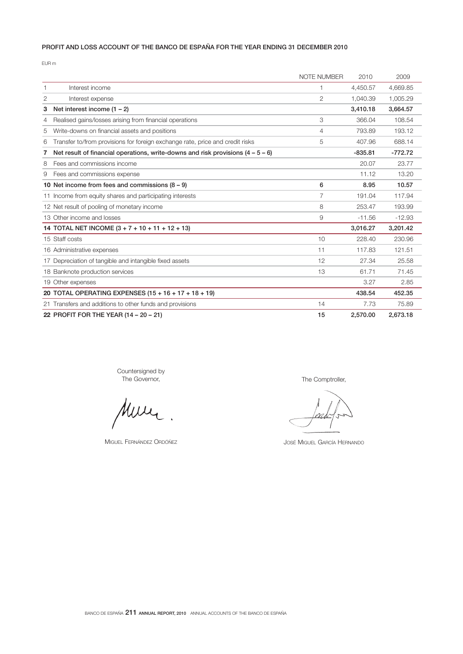# PROFIT AND LOSS ACCOUNT OF THE BANCO DE ESPAÑA FOR THE YEAR ENDING 31 DECEMBER 2010

EUR m

|   |                                                                                   | NOTE NUMBER    | 2010      | 2009      |
|---|-----------------------------------------------------------------------------------|----------------|-----------|-----------|
|   | Interest income                                                                   |                | 4,450.57  | 4,669.85  |
| 2 | Interest expense                                                                  | $\overline{2}$ | 1,040.39  | 1,005.29  |
| 3 | Net interest income $(1 - 2)$                                                     |                | 3,410.18  | 3,664.57  |
| 4 | Realised gains/losses arising from financial operations                           | 3              | 366.04    | 108.54    |
| 5 | Write-downs on financial assets and positions                                     | 4              | 793.89    | 193.12    |
| 6 | Transfer to/from provisions for foreign exchange rate, price and credit risks     | 5              | 407.96    | 688.14    |
| 7 | Net result of financial operations, write-downs and risk provisions $(4 - 5 - 6)$ |                | $-835.81$ | $-772.72$ |
| 8 | Fees and commissions income                                                       |                | 20.07     | 23.77     |
| 9 | Fees and commissions expense                                                      |                | 11.12     | 13.20     |
|   | 10 Net income from fees and commissions $(8 - 9)$                                 | 6              | 8.95      | 10.57     |
|   | 11 Income from equity shares and participating interests                          | 7              | 191.04    | 117.94    |
|   | 12 Net result of pooling of monetary income                                       | 8              | 253.47    | 193.99    |
|   | 13 Other income and losses                                                        | 9              | $-11.56$  | $-12.93$  |
|   | 14 TOTAL NET INCOME $(3 + 7 + 10 + 11 + 12 + 13)$                                 |                | 3,016.27  | 3,201.42  |
|   | 15 Staff costs                                                                    | 10             | 228.40    | 230.96    |
|   | 16 Administrative expenses                                                        | 11             | 117.83    | 121.51    |
|   | 17 Depreciation of tangible and intangible fixed assets                           | 12             | 27.34     | 25.58     |
|   | 18 Banknote production services                                                   | 13             | 61.71     | 71.45     |
|   | 19 Other expenses                                                                 |                | 3.27      | 2.85      |
|   | 20 TOTAL OPERATING EXPENSES (15 + 16 + 17 + 18 + 19)                              |                | 438.54    | 452.35    |
|   | 21 Transfers and additions to other funds and provisions                          | 14             | 7.73      | 75.89     |
|   | 22 PROFIT FOR THE YEAR (14 - 20 - 21)                                             | 15             | 2,570.00  | 2,673.18  |

Countersigned by The Governor,

Muric  $\ddot{\phantom{a}}$ 

MIGUEL FERNÁNDEZ ORDÓÑEZ

The Comptroller,

JOSÉ MIGUEL GARCÍA HERNANDO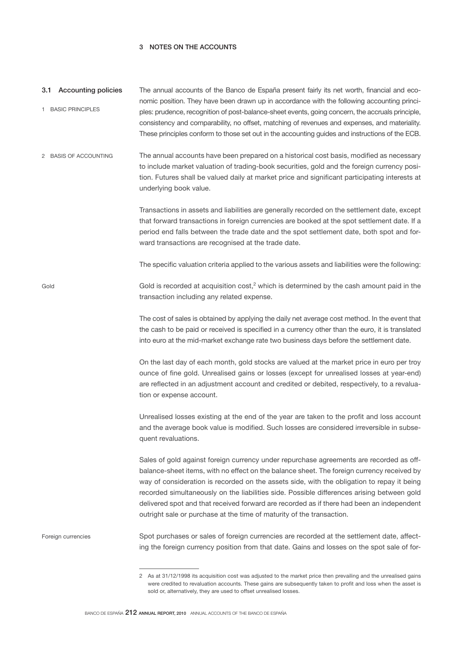# 3 NOTES ON THE ACCOUNTS

Gold

| 3.1 Accounting policies | The annual accounts of the Banco de España present fairly its net worth, financial and eco-      |
|-------------------------|--------------------------------------------------------------------------------------------------|
|                         | nomic position. They have been drawn up in accordance with the following accounting princi-      |
| <b>BASIC PRINCIPLES</b> | ples: prudence, recognition of post-balance-sheet events, going concern, the accruals principle, |
|                         | consistency and comparability, no offset, matching of revenues and expenses, and materiality.    |
|                         | These principles conform to those set out in the accounting guides and instructions of the ECB.  |

The annual accounts have been prepared on a historical cost basis, modified as necessary to include market valuation of trading-book securities, gold and the foreign currency position. Futures shall be valued daily at market price and significant participating interests at underlying book value. 2 BASIS OF ACCOUNTING

> Transactions in assets and liabilities are generally recorded on the settlement date, except that forward transactions in foreign currencies are booked at the spot settlement date. If a period end falls between the trade date and the spot settlement date, both spot and forward transactions are recognised at the trade date.

> The specific valuation criteria applied to the various assets and liabilities were the following:

Gold is recorded at acquisition cost,<sup>2</sup> which is determined by the cash amount paid in the transaction including any related expense.

> The cost of sales is obtained by applying the daily net average cost method. In the event that the cash to be paid or received is specified in a currency other than the euro, it is translated into euro at the mid-market exchange rate two business days before the settlement date.

> On the last day of each month, gold stocks are valued at the market price in euro per troy ounce of fine gold. Unrealised gains or losses (except for unrealised losses at year-end) are reflected in an adjustment account and credited or debited, respectively, to a revaluation or expense account.

> Unrealised losses existing at the end of the year are taken to the profit and loss account and the average book value is modified. Such losses are considered irreversible in subsequent revaluations.

> Sales of gold against foreign currency under repurchase agreements are recorded as offbalance-sheet items, with no effect on the balance sheet. The foreign currency received by way of consideration is recorded on the assets side, with the obligation to repay it being recorded simultaneously on the liabilities side. Possible differences arising between gold delivered spot and that received forward are recorded as if there had been an independent outright sale or purchase at the time of maturity of the transaction.

Spot purchases or sales of foreign currencies are recorded at the settlement date, affecting the foreign currency position from that date. Gains and losses on the spot sale of for-Foreign currencies

<sup>2</sup> As at 31/12/1998 its acquisition cost was adjusted to the market price then prevailing and the unrealised gains were credited to revaluation accounts. These gains are subsequently taken to profit and loss when the asset is sold or, alternatively, they are used to offset unrealised losses.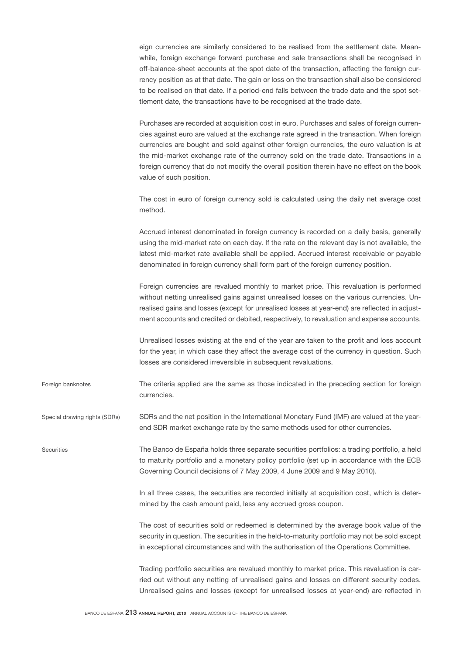eign currencies are similarly considered to be realised from the settlement date. Meanwhile, foreign exchange forward purchase and sale transactions shall be recognised in off-balance-sheet accounts at the spot date of the transaction, affecting the foreign currency position as at that date. The gain or loss on the transaction shall also be considered to be realised on that date. If a period-end falls between the trade date and the spot settlement date, the transactions have to be recognised at the trade date.

Purchases are recorded at acquisition cost in euro. Purchases and sales of foreign currencies against euro are valued at the exchange rate agreed in the transaction. When foreign currencies are bought and sold against other foreign currencies, the euro valuation is at the mid-market exchange rate of the currency sold on the trade date. Transactions in a foreign currency that do not modify the overall position therein have no effect on the book value of such position.

The cost in euro of foreign currency sold is calculated using the daily net average cost method.

Accrued interest denominated in foreign currency is recorded on a daily basis, generally using the mid-market rate on each day. If the rate on the relevant day is not available, the latest mid-market rate available shall be applied. Accrued interest receivable or payable denominated in foreign currency shall form part of the foreign currency position.

Foreign currencies are revalued monthly to market price. This revaluation is performed without netting unrealised gains against unrealised losses on the various currencies. Unrealised gains and losses (except for unrealised losses at year-end) are reflected in adjustment accounts and credited or debited, respectively, to revaluation and expense accounts.

Unrealised losses existing at the end of the year are taken to the profit and loss account for the year, in which case they affect the average cost of the currency in question. Such losses are considered irreversible in subsequent revaluations.

The criteria applied are the same as those indicated in the preceding section for foreign currencies. Foreign banknotes

SDRs and the net position in the International Monetary Fund (IMF) are valued at the yearend SDR market exchange rate by the same methods used for other currencies. Special drawing rights (SDRs)

The Banco de España holds three separate securities portfolios: a trading portfolio, a held to maturity portfolio and a monetary policy portfolio (set up in accordance with the ECB Governing Council decisions of 7 May 2009, 4 June 2009 and 9 May 2010). **Securities** 

> In all three cases, the securities are recorded initially at acquisition cost, which is determined by the cash amount paid, less any accrued gross coupon.

> The cost of securities sold or redeemed is determined by the average book value of the security in question. The securities in the held-to-maturity portfolio may not be sold except in exceptional circumstances and with the authorisation of the Operations Committee.

> Trading portfolio securities are revalued monthly to market price. This revaluation is carried out without any netting of unrealised gains and losses on different security codes. Unrealised gains and losses (except for unrealised losses at year-end) are reflected in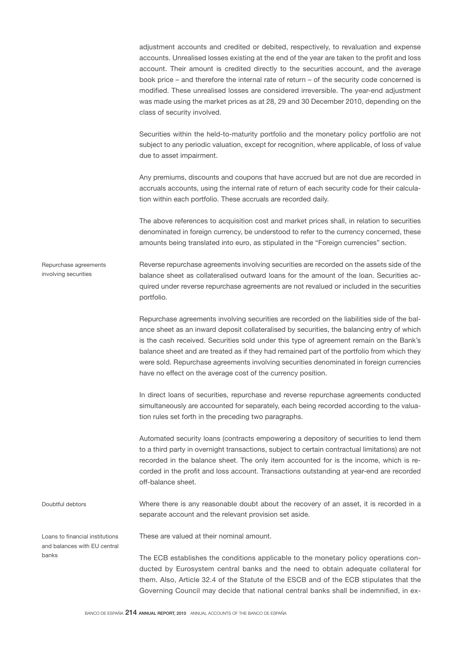adjustment accounts and credited or debited, respectively, to revaluation and expense accounts. Unrealised losses existing at the end of the year are taken to the profit and loss account. Their amount is credited directly to the securities account, and the average book price – and therefore the internal rate of return – of the security code concerned is modified. These unrealised losses are considered irreversible. The year-end adjustment was made using the market prices as at 28, 29 and 30 December 2010, depending on the class of security involved.

Securities within the held-to-maturity portfolio and the monetary policy portfolio are not subject to any periodic valuation, except for recognition, where applicable, of loss of value due to asset impairment.

Any premiums, discounts and coupons that have accrued but are not due are recorded in accruals accounts, using the internal rate of return of each security code for their calculation within each portfolio. These accruals are recorded daily.

The above references to acquisition cost and market prices shall, in relation to securities denominated in foreign currency, be understood to refer to the currency concerned, these amounts being translated into euro, as stipulated in the "Foreign currencies" section.

Reverse repurchase agreements involving securities are recorded on the assets side of the balance sheet as collateralised outward loans for the amount of the loan. Securities acquired under reverse repurchase agreements are not revalued or included in the securities portfolio. Repurchase agreements involving securities

> Repurchase agreements involving securities are recorded on the liabilities side of the balance sheet as an inward deposit collateralised by securities, the balancing entry of which is the cash received. Securities sold under this type of agreement remain on the Bank's balance sheet and are treated as if they had remained part of the portfolio from which they were sold. Repurchase agreements involving securities denominated in foreign currencies have no effect on the average cost of the currency position.

> In direct loans of securities, repurchase and reverse repurchase agreements conducted simultaneously are accounted for separately, each being recorded according to the valuation rules set forth in the preceding two paragraphs.

> Automated security loans (contracts empowering a depository of securities to lend them to a third party in overnight transactions, subject to certain contractual limitations) are not recorded in the balance sheet. The only item accounted for is the income, which is recorded in the profit and loss account. Transactions outstanding at year-end are recorded off-balance sheet.

Where there is any reasonable doubt about the recovery of an asset, it is recorded in a separate account and the relevant provision set aside.

Loans to financial institutions and balances with EU central banks

Doubtful debtors

These are valued at their nominal amount.

The ECB establishes the conditions applicable to the monetary policy operations conducted by Eurosystem central banks and the need to obtain adequate collateral for them. Also, Article 32.4 of the Statute of the ESCB and of the ECB stipulates that the Governing Council may decide that national central banks shall be indemnified, in ex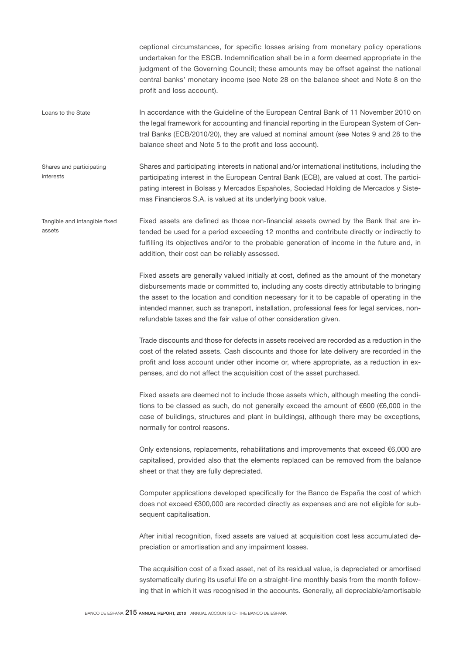ceptional circumstances, for specific losses arising from monetary policy operations undertaken for the ESCB. Indemnification shall be in a form deemed appropriate in the judgment of the Governing Council; these amounts may be offset against the national central banks' monetary income (see Note 28 on the balance sheet and Note 8 on the profit and loss account).

In accordance with the Guideline of the European Central Bank of 11 November 2010 on the legal framework for accounting and financial reporting in the European System of Central Banks (ECB/2010/20), they are valued at nominal amount (see Notes 9 and 28 to the balance sheet and Note 5 to the profit and loss account). Loans to the State

Shares and participating interests in national and/or international institutions, including the participating interest in the European Central Bank (ECB), are valued at cost. The participating interest in Bolsas y Mercados Españoles, Sociedad Holding de Mercados y Sistemas Financieros S.A. is valued at its underlying book value. Shares and participating interests

Fixed assets are defined as those non-financial assets owned by the Bank that are intended be used for a period exceeding 12 months and contribute directly or indirectly to fulfilling its objectives and/or to the probable generation of income in the future and, in addition, their cost can be reliably assessed. Tangible and intangible fixed assets

> Fixed assets are generally valued initially at cost, defined as the amount of the monetary disbursements made or committed to, including any costs directly attributable to bringing the asset to the location and condition necessary for it to be capable of operating in the intended manner, such as transport, installation, professional fees for legal services, nonrefundable taxes and the fair value of other consideration given.

> Trade discounts and those for defects in assets received are recorded as a reduction in the cost of the related assets. Cash discounts and those for late delivery are recorded in the profit and loss account under other income or, where appropriate, as a reduction in expenses, and do not affect the acquisition cost of the asset purchased.

> Fixed assets are deemed not to include those assets which, although meeting the conditions to be classed as such, do not generally exceed the amount of €600 (€6,000 in the case of buildings, structures and plant in buildings), although there may be exceptions, normally for control reasons.

> Only extensions, replacements, rehabilitations and improvements that exceed €6,000 are capitalised, provided also that the elements replaced can be removed from the balance sheet or that they are fully depreciated.

> Computer applications developed specifically for the Banco de España the cost of which does not exceed €300,000 are recorded directly as expenses and are not eligible for subsequent capitalisation.

> After initial recognition, fixed assets are valued at acquisition cost less accumulated depreciation or amortisation and any impairment losses.

> The acquisition cost of a fixed asset, net of its residual value, is depreciated or amortised systematically during its useful life on a straight-line monthly basis from the month following that in which it was recognised in the accounts. Generally, all depreciable/amortisable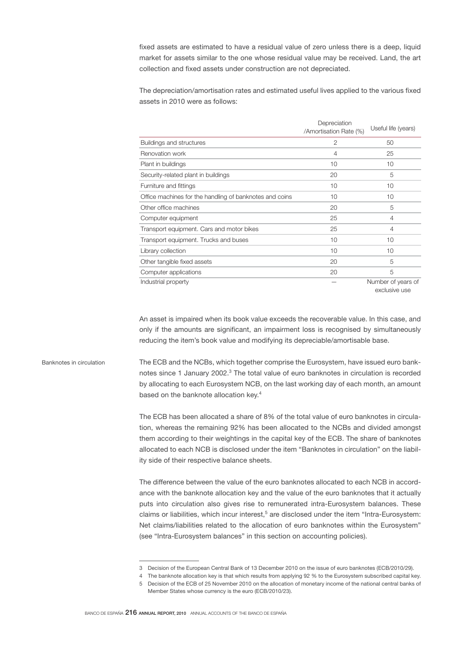fixed assets are estimated to have a residual value of zero unless there is a deep, liquid market for assets similar to the one whose residual value may be received. Land, the art collection and fixed assets under construction are not depreciated.

The depreciation/amortisation rates and estimated useful lives applied to the various fixed assets in 2010 were as follows:

|                                                         | Depreciation<br>/Amortisation Rate (%) | Useful life (years)                 |
|---------------------------------------------------------|----------------------------------------|-------------------------------------|
| Buildings and structures                                | $\mathfrak{D}$                         | 50                                  |
| Renovation work                                         | 4                                      | 25                                  |
| Plant in buildings                                      | 10                                     | 10                                  |
| Security-related plant in buildings                     | 20                                     | 5                                   |
| Furniture and fittings                                  | 10                                     | 10                                  |
| Office machines for the handling of banknotes and coins | 10                                     | 10                                  |
| Other office machines                                   | 20                                     | 5                                   |
| Computer equipment                                      | 25                                     | 4                                   |
| Transport equipment. Cars and motor bikes               | 25                                     | $\overline{4}$                      |
| Transport equipment. Trucks and buses                   | 10                                     | 10                                  |
| Library collection                                      | 10                                     | 10                                  |
| Other tangible fixed assets                             | 20                                     | 5                                   |
| Computer applications                                   | 20                                     | 5                                   |
| Industrial property                                     |                                        | Number of years of<br>exclusive use |

An asset is impaired when its book value exceeds the recoverable value. In this case, and only if the amounts are significant, an impairment loss is recognised by simultaneously reducing the item's book value and modifying its depreciable/amortisable base.

The ECB and the NCBs, which together comprise the Eurosystem, have issued euro banknotes since 1 January 2002.<sup>3</sup> The total value of euro banknotes in circulation is recorded by allocating to each Eurosystem NCB, on the last working day of each month, an amount based on the banknote allocation key.<sup>4</sup> Banknotes in circulation

> The ECB has been allocated a share of 8% of the total value of euro banknotes in circulation, whereas the remaining 92% has been allocated to the NCBs and divided amongst them according to their weightings in the capital key of the ECB. The share of banknotes allocated to each NCB is disclosed under the item "Banknotes in circulation" on the liability side of their respective balance sheets.

> The difference between the value of the euro banknotes allocated to each NCB in accordance with the banknote allocation key and the value of the euro banknotes that it actually puts into circulation also gives rise to remunerated intra-Eurosystem balances. These claims or liabilities, which incur interest,<sup>5</sup> are disclosed under the item "Intra-Eurosystem: Net claims/liabilities related to the allocation of euro banknotes within the Eurosystem" (see "Intra-Eurosystem balances" in this section on accounting policies).

<sup>3</sup> Decision of the European Central Bank of 13 December 2010 on the issue of euro banknotes (ECB/2010/29).

<sup>4</sup> The banknote allocation key is that which results from applying 92 % to the Eurosystem subscribed capital key.

<sup>5</sup> Decision of the ECB of 25 November 2010 on the allocation of monetary income of the national central banks of Member States whose currency is the euro (ECB/2010/23).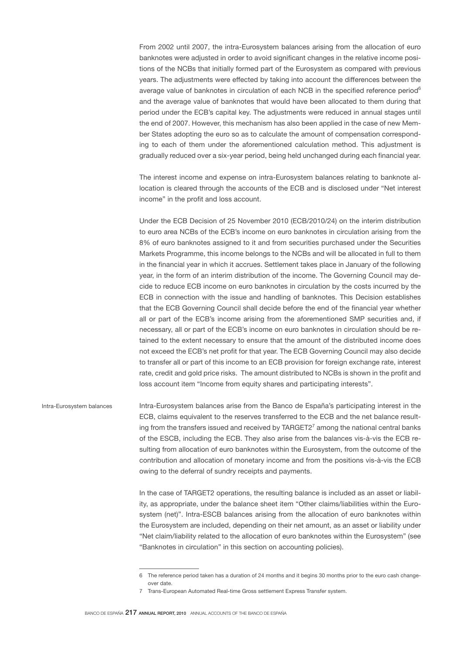From 2002 until 2007, the intra-Eurosystem balances arising from the allocation of euro banknotes were adjusted in order to avoid significant changes in the relative income positions of the NCBs that initially formed part of the Eurosystem as compared with previous years. The adjustments were effected by taking into account the differences between the average value of banknotes in circulation of each NCB in the specified reference period<sup>6</sup> and the average value of banknotes that would have been allocated to them during that period under the ECB's capital key. The adjustments were reduced in annual stages until the end of 2007. However, this mechanism has also been applied in the case of new Member States adopting the euro so as to calculate the amount of compensation corresponding to each of them under the aforementioned calculation method. This adjustment is gradually reduced over a six-year period, being held unchanged during each financial year.

The interest income and expense on intra-Eurosystem balances relating to banknote allocation is cleared through the accounts of the ECB and is disclosed under "Net interest income" in the profit and loss account.

Under the ECB Decision of 25 November 2010 (ECB/2010/24) on the interim distribution to euro area NCBs of the ECB's income on euro banknotes in circulation arising from the 8% of euro banknotes assigned to it and from securities purchased under the Securities Markets Programme, this income belongs to the NCBs and will be allocated in full to them in the financial year in which it accrues. Settlement takes place in January of the following year, in the form of an interim distribution of the income. The Governing Council may decide to reduce ECB income on euro banknotes in circulation by the costs incurred by the ECB in connection with the issue and handling of banknotes. This Decision establishes that the ECB Governing Council shall decide before the end of the financial year whether all or part of the ECB's income arising from the aforementioned SMP securities and, if necessary, all or part of the ECB's income on euro banknotes in circulation should be retained to the extent necessary to ensure that the amount of the distributed income does not exceed the ECB's net profit for that year. The ECB Governing Council may also decide to transfer all or part of this income to an ECB provision for foreign exchange rate, interest rate, credit and gold price risks. The amount distributed to NCBs is shown in the profit and loss account item "Income from equity shares and participating interests".

Intra-Eurosystem balances arise from the Banco de España's participating interest in the ECB, claims equivalent to the reserves transferred to the ECB and the net balance resulting from the transfers issued and received by  $\text{TARGET2}^7$  among the national central banks of the ESCB, including the ECB. They also arise from the balances vis-à-vis the ECB resulting from allocation of euro banknotes within the Eurosystem, from the outcome of the contribution and allocation of monetary income and from the positions vis-à-vis the ECB owing to the deferral of sundry receipts and payments. Intra-Eurosystem balances

> In the case of TARGET2 operations, the resulting balance is included as an asset or liability, as appropriate, under the balance sheet item "Other claims/liabilities within the Eurosystem (net)". Intra-ESCB balances arising from the allocation of euro banknotes within the Eurosystem are included, depending on their net amount, as an asset or liability under "Net claim/liability related to the allocation of euro banknotes within the Eurosystem" (see "Banknotes in circulation" in this section on accounting policies).

<sup>6</sup> The reference period taken has a duration of 24 months and it begins 30 months prior to the euro cash changeover date.

<sup>7</sup> Trans-European Automated Real-time Gross settlement Express Transfer system.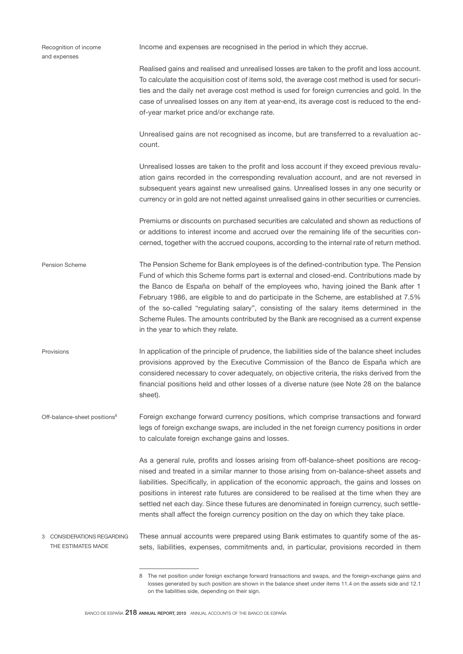| Recognition of income<br>and expenses               | Income and expenses are recognised in the period in which they accrue.                                                                                                                                                                                                                                                                                                                                                                                                                                                                                                                     |
|-----------------------------------------------------|--------------------------------------------------------------------------------------------------------------------------------------------------------------------------------------------------------------------------------------------------------------------------------------------------------------------------------------------------------------------------------------------------------------------------------------------------------------------------------------------------------------------------------------------------------------------------------------------|
|                                                     | Realised gains and realised and unrealised losses are taken to the profit and loss account.<br>To calculate the acquisition cost of items sold, the average cost method is used for securi-<br>ties and the daily net average cost method is used for foreign currencies and gold. In the<br>case of unrealised losses on any item at year-end, its average cost is reduced to the end-<br>of-year market price and/or exchange rate.                                                                                                                                                      |
|                                                     | Unrealised gains are not recognised as income, but are transferred to a revaluation ac-<br>count.                                                                                                                                                                                                                                                                                                                                                                                                                                                                                          |
|                                                     | Unrealised losses are taken to the profit and loss account if they exceed previous revalu-<br>ation gains recorded in the corresponding revaluation account, and are not reversed in<br>subsequent years against new unrealised gains. Unrealised losses in any one security or<br>currency or in gold are not netted against unrealised gains in other securities or currencies.                                                                                                                                                                                                          |
|                                                     | Premiums or discounts on purchased securities are calculated and shown as reductions of<br>or additions to interest income and accrued over the remaining life of the securities con-<br>cerned, together with the accrued coupons, according to the internal rate of return method.                                                                                                                                                                                                                                                                                                       |
| Pension Scheme                                      | The Pension Scheme for Bank employees is of the defined-contribution type. The Pension<br>Fund of which this Scheme forms part is external and closed-end. Contributions made by<br>the Banco de España on behalf of the employees who, having joined the Bank after 1<br>February 1986, are eligible to and do participate in the Scheme, are established at 7.5%<br>of the so-called "regulating salary", consisting of the salary items determined in the<br>Scheme Rules. The amounts contributed by the Bank are recognised as a current expense<br>in the year to which they relate. |
| Provisions                                          | In application of the principle of prudence, the liabilities side of the balance sheet includes<br>provisions approved by the Executive Commission of the Banco de España which are<br>considered necessary to cover adequately, on objective criteria, the risks derived from the<br>financial positions held and other losses of a diverse nature (see Note 28 on the balance<br>sheet).                                                                                                                                                                                                 |
| Off-balance-sheet positions <sup>8</sup>            | Foreign exchange forward currency positions, which comprise transactions and forward<br>legs of foreign exchange swaps, are included in the net foreign currency positions in order<br>to calculate foreign exchange gains and losses.                                                                                                                                                                                                                                                                                                                                                     |
|                                                     | As a general rule, profits and losses arising from off-balance-sheet positions are recog-<br>nised and treated in a similar manner to those arising from on-balance-sheet assets and<br>liabilities. Specifically, in application of the economic approach, the gains and losses on<br>positions in interest rate futures are considered to be realised at the time when they are<br>settled net each day. Since these futures are denominated in foreign currency, such settle-<br>ments shall affect the foreign currency position on the day on which they take place.                  |
| CONSIDERATIONS REGARDING<br>З<br>THE ESTIMATES MADE | These annual accounts were prepared using Bank estimates to quantify some of the as-<br>sets, liabilities, expenses, commitments and, in particular, provisions recorded in them                                                                                                                                                                                                                                                                                                                                                                                                           |

<sup>8</sup> The net position under foreign exchange forward transactions and swaps, and the foreign-exchange gains and losses generated by such position are shown in the balance sheet under items 11.4 on the assets side and 12.1 on the liabilities side, depending on their sign.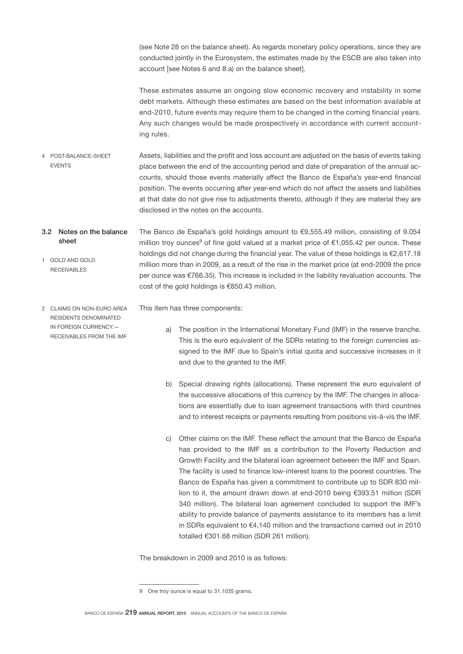(see Note 28 on the balance sheet). As regards monetary policy operations, since they are conducted jointly in the Eurosystem, the estimates made by the ESCB are also taken into account [see Notes 6 and 8.a) on the balance sheet].

These estimates assume an ongoing slow economic recovery and instability in some debt markets. Although these estimates are based on the best information available at end-2010, future events may require them to be changed in the coming financial years. Any such changes would be made prospectively in accordance with current accounting rules.

- Assets, liabilities and the profit and loss account are adjusted on the basis of events taking place between the end of the accounting period and date of preparation of the annual accounts, should those events materially affect the Banco de España's year-end financial position. The events occurring after year-end which do not affect the assets and liabilities at that date do not give rise to adjustments thereto, although if they are material they are disclosed in the notes on the accounts. 4 POST-BALANCE-SHEET EVENTS
- The Banco de España's gold holdings amount to €9,555.49 million, consisting of 9.054 million troy ounces<sup>9</sup> of fine gold valued at a market price of €1,055.42 per ounce. These holdings did not change during the financial year. The value of these holdings is €2,617.18 million more than in 2009, as a result of the rise in the market price (at end-2009 the price per ounce was €766.35). This increase is included in the liability revaluation accounts. The cost of the gold holdings is €850.43 million. 3.2 Notes on the balance sheet 1 GOLD AND GOLD RECEIVABLES
- 2 CLAIMS ON NON-EURO AREA RESIDENTS DENOMINATED IN FOREIGN CURRENCY.— RECEIVABLES FROM THE IMF

This item has three components:

- a) The position in the International Monetary Fund (IMF) in the reserve tranche. This is the euro equivalent of the SDRs relating to the foreign currencies assigned to the IMF due to Spain's initial quota and successive increases in it and due to the granted to the IMF.
- b) Special drawing rights (allocations). These represent the euro equivalent of the successive allocations of this currency by the IMF. The changes in allocations are essentially due to loan agreement transactions with third countries and to interest receipts or payments resulting from positions vis-à-vis the IMF.
- c) Other claims on the IMF. These reflect the amount that the Banco de España has provided to the IMF as a contribution to the Poverty Reduction and Growth Facility and the bilateral loan agreement between the IMF and Spain. The facility is used to finance low-interest loans to the poorest countries. The Banco de España has given a commitment to contribute up to SDR 830 million to it, the amount drawn down at end-2010 being €393.51 million (SDR 340 million). The bilateral loan agreement concluded to support the IMF's ability to provide balance of payments assistance to its members has a limit in SDRs equivalent to €4,140 million and the transactions carried out in 2010 totalled €301.68 million (SDR 261 million).

The breakdown in 2009 and 2010 is as follows:

BANCO DE ESPAÑA 219 ANNUAL REPORT, 2010 ANNUAL ACCOUNTS OF THE BANCO DE ESPAÑA

<sup>9</sup> One troy ounce is equal to 31.1035 grams.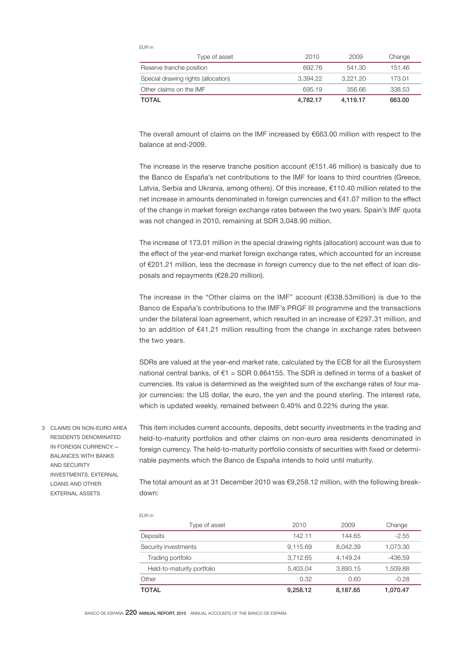|--|--|

| Type of asset                       | 2010     | 2009     | Change |
|-------------------------------------|----------|----------|--------|
| Reserve tranche position            | 692.76   | 541.30   | 151.46 |
| Special drawing rights (allocation) | 3.394.22 | 3.221.20 | 173.01 |
| Other claims on the IMF             | 695.19   | 356.66   | 338.53 |
| <b>TOTAL</b>                        | 4.782.17 | 4,119.17 | 663.00 |

The overall amount of claims on the IMF increased by €663.00 million with respect to the balance at end-2009.

The increase in the reserve tranche position account  $(E151.46$  million) is basically due to the Banco de España's net contributions to the IMF for loans to third countries (Greece, Latvia, Serbia and Ukrania, among others). Of this increase, €110.40 million related to the net increase in amounts denominated in foreign currencies and €41.07 million to the effect of the change in market foreign exchange rates between the two years. Spain's IMF quota was not changed in 2010, remaining at SDR 3,048.90 million.

The increase of 173.01 million in the special drawing rights (allocation) account was due to the effect of the year-end market foreign exchange rates, which accounted for an increase of €201.21 million, less the decrease in foreign currency due to the net effect of loan disposals and repayments (€28.20 million).

The increase in the "Other claims on the IMF" account (€338.53million) is due to the Banco de España's contributions to the IMF's PRGF III programme and the transactions under the bilateral loan agreement, which resulted in an increase of €297.31 million, and to an addition of €41.21 million resulting from the change in exchange rates between the two years.

SDRs are valued at the year-end market rate, calculated by the ECB for all the Eurosystem national central banks, of  $E1 = SDR 0.864155$ . The SDR is defined in terms of a basket of currencies. Its value is determined as the weighted sum of the exchange rates of four major currencies: the US dollar, the euro, the yen and the pound sterling. The interest rate, which is updated weekly, remained between 0.40% and 0.22% during the year.

3 CLAIMS ON NON-EURO AREA RESIDENTS DENOMINATED IN FOREIGN CURRENCY.— BALANCES WITH BANKS AND SECURITY INVESTMENTS, EXTERNAL LOANS AND OTHER EXTERNAL ASSETS

This item includes current accounts, deposits, debt security investments in the trading and held-to-maturity portfolios and other claims on non-euro area residents denominated in foreign currency. The held-to-maturity portfolio consists of securities with fixed or determinable payments which the Banco de España intends to hold until maturity.

The total amount as at 31 December 2010 was  $€9,258.12$  million, with the following breakdown:

| Type of asset              | 2010     | 2009     | Change    |
|----------------------------|----------|----------|-----------|
| Deposits                   | 142.11   | 144.65   | $-2.55$   |
| Security investments       | 9.115.69 | 8.042.39 | 1,073.30  |
| Trading portfolio          | 3.712.65 | 4.149.24 | $-436.59$ |
| Held-to-maturity portfolio | 5.403.04 | 3.893.15 | 1.509.88  |
| Other                      | 0.32     | 0.60     | $-0.28$   |
| TOTAL                      | 9.258.12 | 8.187.65 | 1.070.47  |

EUR m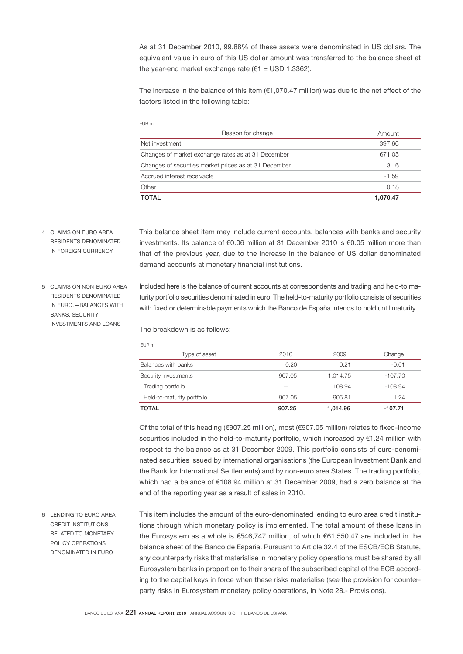As at 31 December 2010, 99.88% of these assets were denominated in US dollars. The equivalent value in euro of this US dollar amount was transferred to the balance sheet at the year-end market exchange rate ( $€1 =$  USD 1.3362).

The increase in the balance of this item  $(€1,070.47$  million) was due to the net effect of the factors listed in the following table:

| <b>TOTAL</b>                                          | 1.070.47 |
|-------------------------------------------------------|----------|
| Other                                                 | 0.18     |
| Accrued interest receivable                           | $-1.59$  |
| Changes of securities market prices as at 31 December | 3.16     |
| Changes of market exchange rates as at 31 December    | 671.05   |
| Net investment                                        | 397.66   |
| Reason for change                                     | Amount   |
|                                                       |          |

4 CLAIMS ON EURO AREA RESIDENTS DENOMINATED IN FOREIGN CURRENCY

This balance sheet item may include current accounts, balances with banks and security investments. Its balance of €0.06 million at 31 December 2010 is €0.05 million more than that of the previous year, due to the increase in the balance of US dollar denominated demand accounts at monetary financial institutions.

5 CLAIMS ON NON-EURO AREA RESIDENTS DENOMINATED IN EURO.—BALANCES WITH BANKS, SECURITY INVESTMENTS AND LOANS

Included here is the balance of current accounts at correspondents and trading and held-to maturity portfolio securities denominated in euro. The held-to-maturity portfolio consists of securities with fixed or determinable payments which the Banco de España intends to hold until maturity.

The breakdown is as follows:

|--|

EUR m

| Type of asset              | 2010   | 2009     | Change    |
|----------------------------|--------|----------|-----------|
| Balances with banks        | 0.20   | 0.21     | $-0.01$   |
| Security investments       | 907.05 | 1.014.75 | -107.70   |
| Trading portfolio          |        | 108.94   | $-108.94$ |
| Held-to-maturity portfolio | 907.05 | 905.81   | 1.24      |
| <b>TOTAL</b>               | 907.25 | 1.014.96 | $-107.71$ |

Of the total of this heading (€907.25 million), most (€907.05 million) relates to fixed-income securities included in the held-to-maturity portfolio, which increased by €1.24 million with respect to the balance as at 31 December 2009. This portfolio consists of euro-denominated securities issued by international organisations (the European Investment Bank and the Bank for International Settlements) and by non-euro area States. The trading portfolio, which had a balance of €108.94 million at 31 December 2009, had a zero balance at the end of the reporting year as a result of sales in 2010.

6 LENDING TO EURO AREA CREDIT INSTITUTIONS RELATED TO MONETARY POLICY OPERATIONS DENOMINATED IN EURO

This item includes the amount of the euro-denominated lending to euro area credit institutions through which monetary policy is implemented. The total amount of these loans in the Eurosystem as a whole is €546,747 million, of which €61,550.47 are included in the balance sheet of the Banco de España. Pursuant to Article 32.4 of the ESCB/ECB Statute, any counterparty risks that materialise in monetary policy operations must be shared by all Eurosystem banks in proportion to their share of the subscribed capital of the ECB according to the capital keys in force when these risks materialise (see the provision for counterparty risks in Eurosystem monetary policy operations, in Note 28.- Provisions).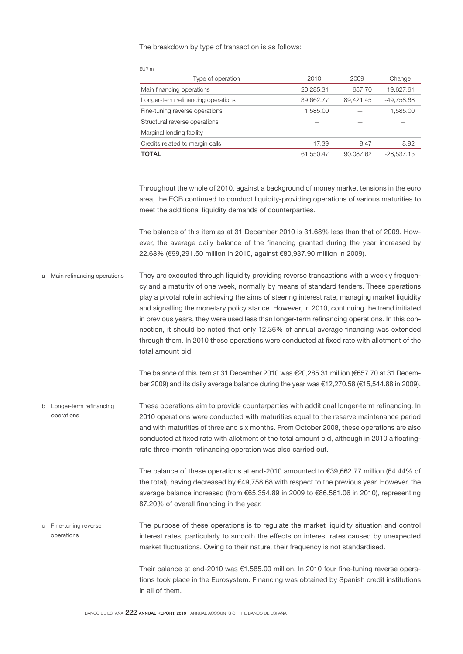### The breakdown by type of transaction is as follows:

| EUR m                              |           |           |              |
|------------------------------------|-----------|-----------|--------------|
| Type of operation                  | 2010      | 2009      | Change       |
| Main financing operations          | 20,285.31 | 657.70    | 19,627.61    |
| Longer-term refinancing operations | 39,662.77 | 89,421.45 | $-49,758.68$ |
| Fine-tuning reverse operations     | 1,585.00  |           | 1,585.00     |
| Structural reverse operations      |           |           |              |
| Marginal lending facility          |           |           |              |
| Credits related to margin calls    | 17.39     | 8.47      | 8.92         |
| <b>TOTAL</b>                       | 61,550.47 | 90,087.62 | $-28,537.15$ |

Throughout the whole of 2010, against a background of money market tensions in the euro area, the ECB continued to conduct liquidity-providing operations of various maturities to meet the additional liquidity demands of counterparties.

The balance of this item as at 31 December 2010 is 31.68% less than that of 2009. However, the average daily balance of the financing granted during the year increased by 22.68% (€99,291.50 million in 2010, against €80,937.90 million in 2009).

They are executed through liquidity providing reverse transactions with a weekly frequency and a maturity of one week, normally by means of standard tenders. These operations play a pivotal role in achieving the aims of steering interest rate, managing market liquidity and signalling the monetary policy stance. However, in 2010, continuing the trend initiated in previous years, they were used less than longer-term refinancing operations. In this connection, it should be noted that only 12.36% of annual average financing was extended through them. In 2010 these operations were conducted at fixed rate with allotment of the total amount bid. a Main refinancing operations

> The balance of this item at 31 December 2010 was €20,285.31 million (€657.70 at 31 December 2009) and its daily average balance during the year was €12,270.58 (€15,544.88 in 2009).

These operations aim to provide counterparties with additional longer-term refinancing. In 2010 operations were conducted with maturities equal to the reserve maintenance period and with maturities of three and six months. From October 2008, these operations are also conducted at fixed rate with allotment of the total amount bid, although in 2010 a floatingrate three-month refinancing operation was also carried out. b Longer-term refinancing operations

> The balance of these operations at end-2010 amounted to €39,662.77 million (64.44% of the total), having decreased by €49,758.68 with respect to the previous year. However, the average balance increased (from €65,354.89 in 2009 to €86,561.06 in 2010), representing 87.20% of overall financing in the year.

The purpose of these operations is to regulate the market liquidity situation and control interest rates, particularly to smooth the effects on interest rates caused by unexpected market fluctuations. Owing to their nature, their frequency is not standardised. c Fine-tuning reverse operations

> Their balance at end-2010 was €1,585.00 million. In 2010 four fine-tuning reverse operations took place in the Eurosystem. Financing was obtained by Spanish credit institutions in all of them.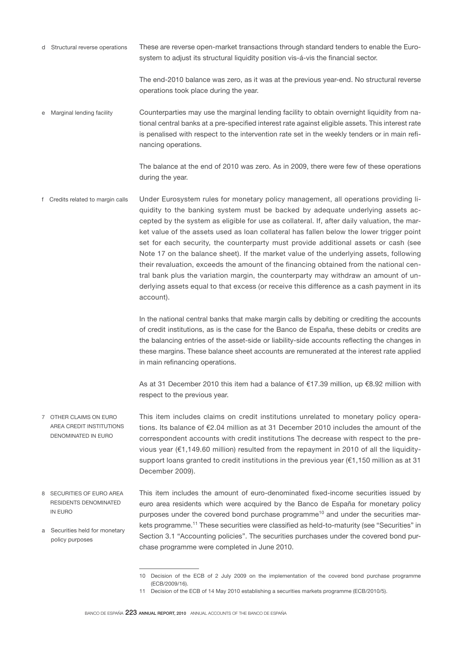These are reverse open-market transactions through standard tenders to enable the Eurosystem to adjust its structural liquidity position vis-á-vis the financial sector. d Structural reverse operations

> The end-2010 balance was zero, as it was at the previous year-end. No structural reverse operations took place during the year.

Counterparties may use the marginal lending facility to obtain overnight liquidity from national central banks at a pre-specified interest rate against eligible assets. This interest rate is penalised with respect to the intervention rate set in the weekly tenders or in main refinancing operations. e Marginal lending facility

> The balance at the end of 2010 was zero. As in 2009, there were few of these operations during the year.

Under Eurosystem rules for monetary policy management, all operations providing liquidity to the banking system must be backed by adequate underlying assets accepted by the system as eligible for use as collateral. If, after daily valuation, the market value of the assets used as loan collateral has fallen below the lower trigger point set for each security, the counterparty must provide additional assets or cash (see Note 17 on the balance sheet). If the market value of the underlying assets, following their revaluation, exceeds the amount of the financing obtained from the national central bank plus the variation margin, the counterparty may withdraw an amount of underlying assets equal to that excess (or receive this difference as a cash payment in its account). f Credits related to margin calls

> In the national central banks that make margin calls by debiting or crediting the accounts of credit institutions, as is the case for the Banco de España, these debits or credits are the balancing entries of the asset-side or liability-side accounts reflecting the changes in these margins. These balance sheet accounts are remunerated at the interest rate applied in main refinancing operations.

> As at 31 December 2010 this item had a balance of €17.39 million, up €8.92 million with respect to the previous year.

- This item includes claims on credit institutions unrelated to monetary policy operations. Its balance of €2.04 million as at 31 December 2010 includes the amount of the correspondent accounts with credit institutions The decrease with respect to the previous year ( $€1,149.60$  million) resulted from the repayment in 2010 of all the liquiditysupport loans granted to credit institutions in the previous year (€1,150 million as at 31 December 2009). 7 OTHER CLAIMS ON EURO AREA CREDIT INSTITUTIONS DENOMINATED IN EURO
- This item includes the amount of euro-denominated fixed-income securities issued by euro area residents which were acquired by the Banco de España for monetary policy purposes under the covered bond purchase programme<sup>10</sup> and under the securities markets programme.11 These securities were classified as held-to-maturity (see "Securities" in Section 3.1 "Accounting policies". The securities purchases under the covered bond pur-8 SECURITIES OF EURO AREA RESIDENTS DENOMINATED IN EURO a Securities held for monetary policy purposes

chase programme were completed in June 2010.

<sup>10</sup> Decision of the ECB of 2 July 2009 on the implementation of the covered bond purchase programme (ECB/2009/16).

<sup>11</sup> Decision of the ECB of 14 May 2010 establishing a securities markets programme (ECB/2010/5).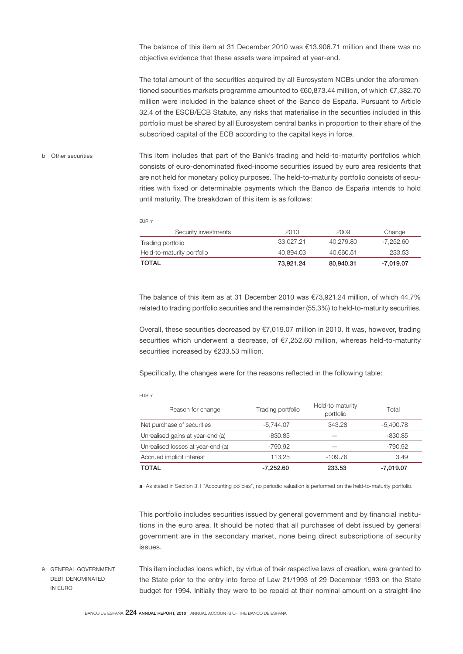The balance of this item at 31 December 2010 was €13,906.71 million and there was no objective evidence that these assets were impaired at year-end.

The total amount of the securities acquired by all Eurosystem NCBs under the aforementioned securities markets programme amounted to €60,873.44 million, of which €7,382.70 million were included in the balance sheet of the Banco de España. Pursuant to Article 32.4 of the ESCB/ECB Statute, any risks that materialise in the securities included in this portfolio must be shared by all Eurosystem central banks in proportion to their share of the subscribed capital of the ECB according to the capital keys in force.

This item includes that part of the Bank's trading and held-to-maturity portfolios which consists of euro-denominated fixed-income securities issued by euro area residents that are not held for monetary policy purposes. The held-to-maturity portfolio consists of securities with fixed or determinable payments which the Banco de España intends to hold until maturity. The breakdown of this item is as follows: b Other securities

EUR m

| Security investments       | 2010      | 2009      | Change    |
|----------------------------|-----------|-----------|-----------|
| Trading portfolio          | 33.027.21 | 40.279.80 | -7.252.60 |
| Held-to-maturity portfolio | 40.894.03 | 40.660.51 | 233.53    |
| <b>TOTAL</b>               | 73.921.24 | 80.940.31 | -7.019.07 |

The balance of this item as at 31 December 2010 was  $\epsilon$ 73,921.24 million, of which 44.7% related to trading portfolio securities and the remainder (55.3%) to held-to-maturity securities.

Overall, these securities decreased by €7,019.07 million in 2010. It was, however, trading securities which underwent a decrease, of €7,252.60 million, whereas held-to-maturity securities increased by €233.53 million.

Specifically, the changes were for the reasons reflected in the following table:

| ۰, |  |
|----|--|
|----|--|

| <b>TOTAL</b>                      | $-7.252.60$       | 233.53                        | $-7,019.07$ |
|-----------------------------------|-------------------|-------------------------------|-------------|
| Accrued implicit interest         | 113.25            | $-109.76$                     | 3.49        |
| Unrealised losses at year-end (a) | -790.92           |                               | $-790.92$   |
| Unrealised gains at year-end (a)  | $-830.85$         |                               | -830.85     |
| Net purchase of securities        | $-5,744.07$       | 343.28                        | $-5,400.78$ |
| Reason for change                 | Trading portfolio | Held-to maturity<br>portfolio | Total       |

a As stated in Section 3.1 "Accounting policies", no periodic valuation is performed on the held-to-maturity portfolio.

This portfolio includes securities issued by general government and by financial institutions in the euro area. It should be noted that all purchases of debt issued by general government are in the secondary market, none being direct subscriptions of security issues.

This item includes loans which, by virtue of their respective laws of creation, were granted to the State prior to the entry into force of Law 21/1993 of 29 December 1993 on the State budget for 1994. Initially they were to be repaid at their nominal amount on a straight-line 9 GENERAL GOVERNMENT DEBT DENOMINATED IN EURO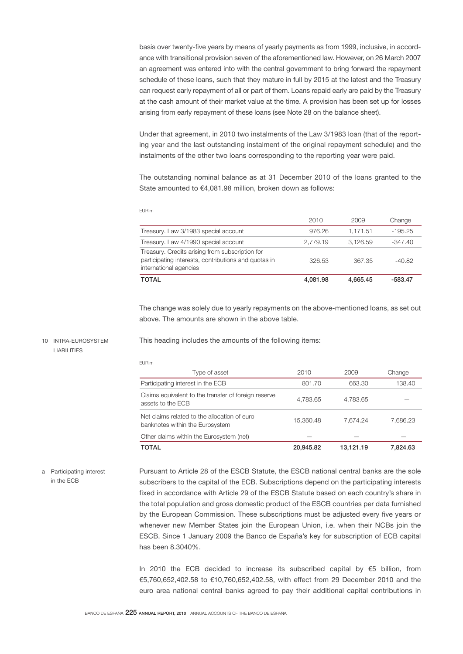basis over twenty-five years by means of yearly payments as from 1999, inclusive, in accordance with transitional provision seven of the aforementioned law. However, on 26 March 2007 an agreement was entered into with the central government to bring forward the repayment schedule of these loans, such that they mature in full by 2015 at the latest and the Treasury can request early repayment of all or part of them. Loans repaid early are paid by the Treasury at the cash amount of their market value at the time. A provision has been set up for losses arising from early repayment of these loans (see Note 28 on the balance sheet).

Under that agreement, in 2010 two instalments of the Law 3/1983 loan (that of the reporting year and the last outstanding instalment of the original repayment schedule) and the instalments of the other two loans corresponding to the reporting year were paid.

The outstanding nominal balance as at 31 December 2010 of the loans granted to the State amounted to €4,081.98 million, broken down as follows:

|                                                                                                                                   | 2010     | 2009     | Change    |
|-----------------------------------------------------------------------------------------------------------------------------------|----------|----------|-----------|
| Treasury. Law 3/1983 special account                                                                                              | 976.26   | 1.171.51 | $-195.25$ |
| Treasury. Law 4/1990 special account                                                                                              | 2.779.19 | 3.126.59 | $-347.40$ |
| Treasury. Credits arising from subscription for<br>participating interests, contributions and quotas in<br>international agencies | 326.53   | 367.35   | $-40.82$  |
| <b>TOTAL</b>                                                                                                                      | 4,081.98 | 4,665.45 | -583.47   |

The change was solely due to yearly repayments on the above-mentioned loans, as set out above. The amounts are shown in the above table.

#### 10 INTRA-EUROSYSTEM LIABILITIES

This heading includes the amounts of the following items:

EUR m

EUR m

| Type of asset                                                                   | 2010      | 2009      | Change   |
|---------------------------------------------------------------------------------|-----------|-----------|----------|
| Participating interest in the ECB                                               | 801.70    | 663.30    | 138.40   |
| Claims equivalent to the transfer of foreign reserve<br>assets to the ECB       | 4,783.65  | 4.783.65  |          |
| Net claims related to the allocation of euro<br>banknotes within the Eurosystem | 15,360.48 | 7.674.24  | 7.686.23 |
| Other claims within the Eurosystem (net)                                        |           |           |          |
| <b>TOTAL</b>                                                                    | 20.945.82 | 13.121.19 | 7.824.63 |

# a Participating interest in the ECB

Pursuant to Article 28 of the ESCB Statute, the ESCB national central banks are the sole subscribers to the capital of the ECB. Subscriptions depend on the participating interests fixed in accordance with Article 29 of the ESCB Statute based on each country's share in the total population and gross domestic product of the ESCB countries per data furnished by the European Commission. These subscriptions must be adjusted every five years or whenever new Member States join the European Union, i.e. when their NCBs join the ESCB. Since 1 January 2009 the Banco de España's key for subscription of ECB capital has been 8.3040%.

In 2010 the ECB decided to increase its subscribed capital by  $€5$  billion, from €5,760,652,402.58 to €10,760,652,402.58, with effect from 29 December 2010 and the euro area national central banks agreed to pay their additional capital contributions in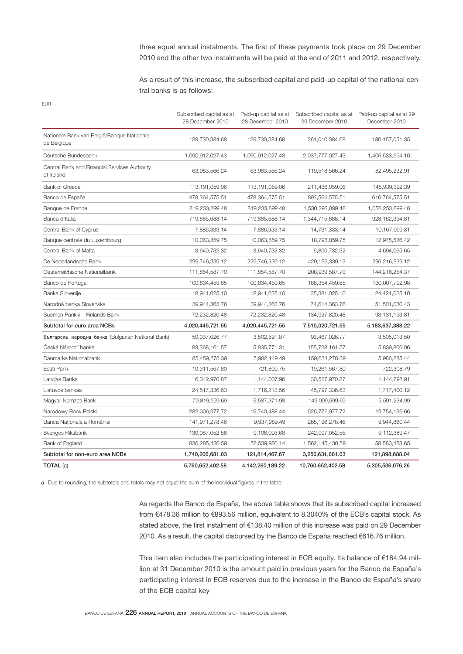three equal annual instalments. The first of these payments took place on 29 December 2010 and the other two instalments will be paid at the end of 2011 and 2012, respectively.

As a result of this increase, the subscribed capital and paid-up capital of the national central banks is as follows:

| I<br>--<br>× |  |
|--------------|--|

|                                                             | Subscribed capital as at<br>28 December 2010 | Paid-up capital as at<br>28 December 2010 | 29 December 2010  | Subscribed capital as at Paid-up capital as at 29<br>December 2010 |
|-------------------------------------------------------------|----------------------------------------------|-------------------------------------------|-------------------|--------------------------------------------------------------------|
| Nationale Bank van België/Banque Nationale<br>de Belgique   | 139,730,384.68                               | 139,730,384.68                            | 261,010,384.68    | 180, 157, 051.35                                                   |
| Deutsche Bundesbank                                         | 1,090,912,027.43                             | 1,090,912,027.43                          | 2,037,777,027.43  | 1,406,533,694.10                                                   |
| Central Bank and Financial Services Authority<br>of Ireland | 63,983,566.24                                | 63,983,566.24                             | 119,518,566.24    | 82,495,232.91                                                      |
| <b>Bank of Greece</b>                                       | 113,191,059.06                               | 113,191,059.06                            | 211,436,059.06    | 145,939,392.39                                                     |
| Banco de España                                             | 478,364,575.51                               | 478,364,575.51                            | 893,564,575.51    | 616,764,575.51                                                     |
| Banque de France                                            | 819,233,899.48                               | 819,233,899.48                            | 1,530,293,899.48  | 1,056,253,899.48                                                   |
| Banca d'Italia                                              | 719,885,688.14                               | 719,885,688.14                            | 1,344,715,688.14  | 928, 162, 354.81                                                   |
| Central Bank of Cyprus                                      | 7,886,333.14                                 | 7,886,333.14                              | 14,731,333.14     | 10,167,999.81                                                      |
| Banque centrale du Luxembourg                               | 10,063,859.75                                | 10,063,859.75                             | 18,798,859.75     | 12,975,526.42                                                      |
| Central Bank of Malta                                       | 3,640,732.32                                 | 3,640,732.32                              | 6,800,732.32      | 4,694,065.65                                                       |
| De Nederlandsche Bank                                       | 229,746,339.12                               | 229,746,339.12                            | 429,156,339.12    | 296,216,339.12                                                     |
| Oesterreichische Nationalbank                               | 111,854,587.70                               | 111,854,587.70                            | 208,939,587.70    | 144,216,254.37                                                     |
| Banco de Portugal                                           | 100,834,459.65                               | 100,834,459.65                            | 188,354,459.65    | 130,007,792.98                                                     |
| Banka Slovenije                                             | 18,941,025.10                                | 18,941,025.10                             | 35,381,025.10     | 24,421,025.10                                                      |
| Národná banka Slovenska                                     | 39,944,363.76                                | 39,944,363.76                             | 74,614,363.76     | 51,501,030.43                                                      |
| Suomen Pankki - Finlands Bank                               | 72,232,820.48                                | 72,232,820.48                             | 134,927,820.48    | 93,131,153.81                                                      |
| Subtotal for euro area NCBs                                 | 4,020,445,721.55                             | 4,020,445,721.55                          | 7,510,020,721.55  | 5,183,637,388.22                                                   |
| Българска народна банка (Bulgarian National Bank)           | 50,037,026.77                                | 3,502,591.87                              | 93,467,026.77     | 3,505,013.50                                                       |
| Česká Národní banka                                         | 83,368,161.57                                | 5,835,771.31                              | 155,728,161.57    | 5,839,806.06                                                       |
| Danmarks Nationalbank                                       | 85,459,278.39                                | 5,982,149.49                              | 159,634,278.39    | 5,986,285.44                                                       |
| Eesti Pank                                                  | 10,311,567.80                                | 721,809.75                                | 19,261,567.80     | 722,308.79                                                         |
| Latvijas Banka                                              | 16,342,970.87                                | 1,144,007.96                              | 30,527,970.87     | 1,144,798.91                                                       |
| Lietuvos bankas                                             | 24,517,336.63                                | 1,716,213.56                              | 45,797,336.63     | 1,717,400.12                                                       |
| Magyar Nemzeti Bank                                         | 79,819,599.69                                | 5,587,371.98                              | 149,099,599.69    | 5,591,234.99                                                       |
| Narodowy Bank Polski                                        | 282,006,977.72                               | 19,740,488.44                             | 526,776,977.72    | 19,754,136.66                                                      |
| Banca Națională a României                                  | 141,971,278.46                               | 9,937,989.49                              | 265, 196, 278.46  | 9,944,860.44                                                       |
| Sveriges Riksbank                                           | 130,087,052.56                               | 9,106,093.68                              | 242,997,052.56    | 9,112,389.47                                                       |
| Bank of England                                             | 836,285,430.59                               | 58,539,980.14                             | 1,562,145,430.59  | 58,580,453.65                                                      |
| Subtotal for non-euro area NCBs                             | 1,740,206,681.03                             | 121,814,467.67                            | 3,250,631,681.03  | 121,898,688.04                                                     |
| TOTAL (a)                                                   | 5,760,652,402.58                             | 4,142,260,189.22                          | 10,760,652,402.58 | 5,305,536,076.26                                                   |

a Due to rounding, the subtotals and totals may not equal the sum of the individual figures in the table.

As regards the Banco de España, the above table shows that its subscribed capital increased from €478.36 million to €893.56 million, equivalent to 8.3040% of the ECB's capital stock. As stated above, the first instalment of €138.40 million of this increase was paid on 29 December 2010. As a result, the capital disbursed by the Banco de España reached €616.76 million.

This item also includes the participating interest in ECB equity. Its balance of  $€184.94$  million at 31 December 2010 is the amount paid in previous years for the Banco de España's participating interest in ECB reserves due to the increase in the Banco de España's share of the ECB capital key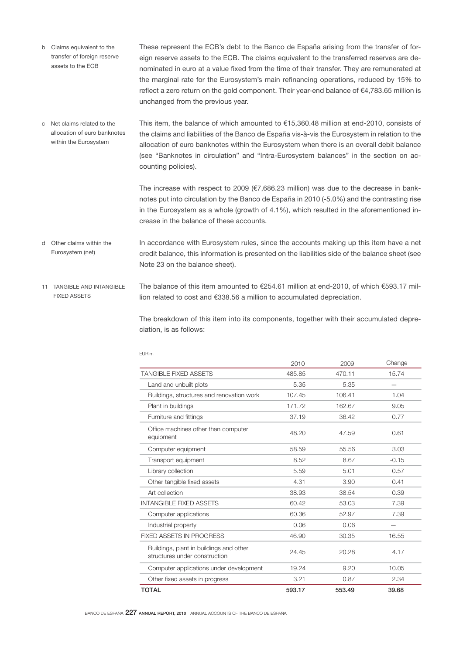- These represent the ECB's debt to the Banco de España arising from the transfer of foreign reserve assets to the ECB. The claims equivalent to the transferred reserves are denominated in euro at a value fixed from the time of their transfer. They are remunerated at the marginal rate for the Eurosystem's main refinancing operations, reduced by 15% to reflect a zero return on the gold component. Their year-end balance of €4,783.65 million is unchanged from the previous year. b Claims equivalent to the transfer of foreign reserve assets to the ECB
- This item, the balance of which amounted to €15,360.48 million at end-2010, consists of the claims and liabilities of the Banco de España vis-à-vis the Eurosystem in relation to the allocation of euro banknotes within the Eurosystem when there is an overall debit balance (see "Banknotes in circulation" and "Intra-Eurosystem balances" in the section on accounting policies). c Net claims related to the allocation of euro banknotes within the Eurosystem

The increase with respect to 2009 (€7,686.23 million) was due to the decrease in banknotes put into circulation by the Banco de España in 2010 (-5.0%) and the contrasting rise in the Eurosystem as a whole (growth of 4.1%), which resulted in the aforementioned increase in the balance of these accounts.

- In accordance with Eurosystem rules, since the accounts making up this item have a net credit balance, this information is presented on the liabilities side of the balance sheet (see Note 23 on the balance sheet). d Other claims within the Eurosystem (net)
- The balance of this item amounted to €254.61 million at end-2010, of which €593.17 million related to cost and €338.56 a million to accumulated depreciation. 11 TANGIBLE AND INTANGIBLE FIXED ASSETS

The breakdown of this item into its components, together with their accumulated depreciation, is as follows:

|                                                                          | 2010   | 2009   | Change  |
|--------------------------------------------------------------------------|--------|--------|---------|
| <b>TANGIBLE FIXED ASSETS</b>                                             | 485.85 | 470.11 | 15.74   |
| Land and unbuilt plots                                                   | 5.35   | 5.35   |         |
| Buildings, structures and renovation work                                | 107.45 | 106.41 | 1.04    |
| Plant in buildings                                                       | 171.72 | 162.67 | 9.05    |
| Furniture and fittings                                                   | 37.19  | 36.42  | 0.77    |
| Office machines other than computer<br>equipment                         | 48.20  | 47.59  | 0.61    |
| Computer equipment                                                       | 58.59  | 55.56  | 3.03    |
| Transport equipment                                                      | 8.52   | 8.67   | $-0.15$ |
| Library collection                                                       | 5.59   | 5.01   | 0.57    |
| Other tangible fixed assets                                              | 4.31   | 3.90   | 0.41    |
| Art collection                                                           | 38.93  | 38.54  | 0.39    |
| <b>INTANGIBLE FIXED ASSETS</b>                                           | 60.42  | 53.03  | 7.39    |
| Computer applications                                                    | 60.36  | 52.97  | 7.39    |
| Industrial property                                                      | 0.06   | 0.06   |         |
| <b>FIXED ASSETS IN PROGRESS</b>                                          | 46.90  | 30.35  | 16.55   |
| Buildings, plant in buildings and other<br>structures under construction | 24.45  | 20.28  | 4.17    |
| Computer applications under development                                  | 19.24  | 9.20   | 10.05   |
| Other fixed assets in progress                                           | 3.21   | 0.87   | 2.34    |
| <b>TOTAL</b>                                                             | 593.17 | 553.49 | 39.68   |

#### EUR m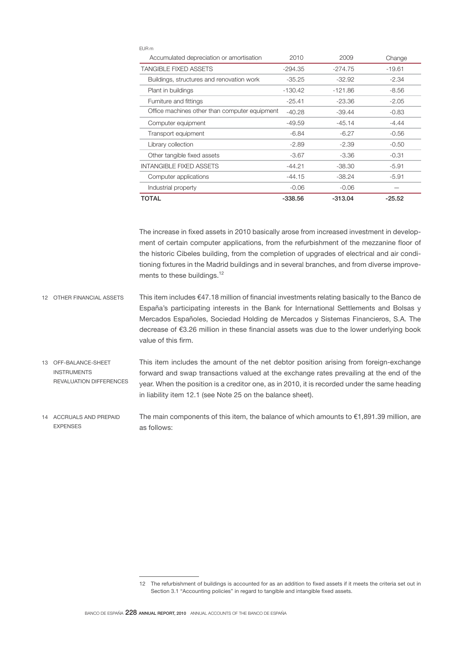| FUR <sub>m</sub>                              |           |           |          |
|-----------------------------------------------|-----------|-----------|----------|
| Accumulated depreciation or amortisation      | 2010      | 2009      | Change   |
| <b>TANGIBLE FIXED ASSETS</b>                  | $-294.35$ | $-274.75$ | $-19.61$ |
| Buildings, structures and renovation work     | $-35.25$  | $-32.92$  | $-2.34$  |
| Plant in buildings                            | $-130.42$ | $-121.86$ | $-8.56$  |
| Furniture and fittings                        | $-25.41$  | -23.36    | $-2.05$  |
| Office machines other than computer equipment | $-40.28$  | $-39.44$  | $-0.83$  |
| Computer equipment                            | $-49.59$  | $-45.14$  | -4.44    |
| Transport equipment                           | $-6.84$   | $-6.27$   | $-0.56$  |
| Library collection                            | $-2.89$   | $-2.39$   | $-0.50$  |
| Other tangible fixed assets                   | $-3.67$   | $-3.36$   | $-0.31$  |
| <b>INTANGIBLE FIXED ASSETS</b>                | $-44.21$  | -38.30    | $-5.91$  |
| Computer applications                         | $-44.15$  | $-38.24$  | $-5.91$  |
| Industrial property                           | $-0.06$   | $-0.06$   |          |
| TOTAL                                         | -338.56   | $-313.04$ | $-25.52$ |

The increase in fixed assets in 2010 basically arose from increased investment in development of certain computer applications, from the refurbishment of the mezzanine floor of the historic Cibeles building, from the completion of upgrades of electrical and air conditioning fixtures in the Madrid buildings and in several branches, and from diverse improvements to these buildings.<sup>12</sup>

- This item includes €47.18 million of financial investments relating basically to the Banco de España's participating interests in the Bank for International Settlements and Bolsas y Mercados Españoles, Sociedad Holding de Mercados y Sistemas Financieros, S.A. The decrease of €3.26 million in these financial assets was due to the lower underlying book value of this firm. 12 OTHER FINANCIAL ASSETS
- This item includes the amount of the net debtor position arising from foreign-exchange forward and swap transactions valued at the exchange rates prevailing at the end of the year. When the position is a creditor one, as in 2010, it is recorded under the same heading in liability item 12.1 (see Note 25 on the balance sheet). 13 OFF-BALANCE-SHEET INSTRUMENTS REVALUATION DIFFERENCES
- The main components of this item, the balance of which amounts to  $\epsilon$ 1,891.39 million, are as follows: 14 ACCRUALS AND PREPAID **EXPENSES**

<sup>12</sup> The refurbishment of buildings is accounted for as an addition to fixed assets if it meets the criteria set out in Section 3.1 "Accounting policies" in regard to tangible and intangible fixed assets.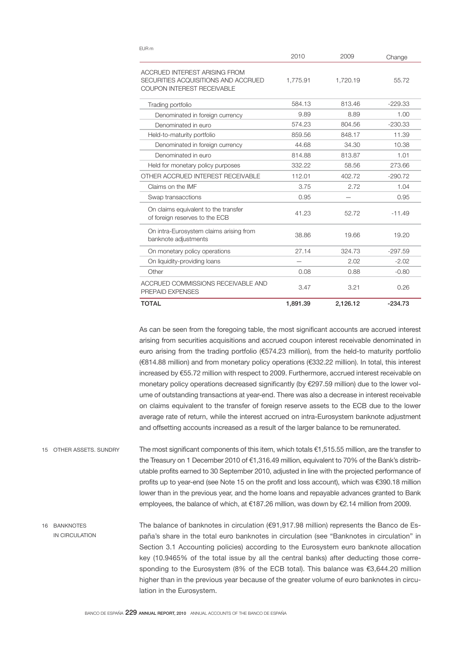| EUR M                                                                                                     | 2010     | 2009     | Change    |
|-----------------------------------------------------------------------------------------------------------|----------|----------|-----------|
| ACCRUED INTEREST ARISING FROM<br>SECURITIES ACQUISITIONS AND ACCRUED<br><b>COUPON INTEREST RECEIVABLE</b> | 1,775.91 | 1,720.19 | 55.72     |
| Trading portfolio                                                                                         | 584.13   | 813.46   | $-229.33$ |
| Denominated in foreign currency                                                                           | 9.89     | 8.89     | 1.00      |
| Denominated in euro                                                                                       | 574.23   | 804.56   | $-230.33$ |
| Held-to-maturity portfolio                                                                                | 859.56   | 848.17   | 11.39     |
| Denominated in foreign currency                                                                           | 44.68    | 34.30    | 10.38     |
| Denominated in euro                                                                                       | 814.88   | 813.87   | 1.01      |
| Held for monetary policy purposes                                                                         | 332.22   | 58.56    | 273.66    |
| OTHER ACCRUED INTEREST RECEIVABLE                                                                         | 112.01   | 402.72   | $-290.72$ |
| Claims on the IMF                                                                                         | 3.75     | 2.72     | 1.04      |
| Swap transacctions                                                                                        | 0.95     |          | 0.95      |
| On claims equivalent to the transfer<br>of foreign reserves to the ECB                                    | 41.23    | 52.72    | $-11.49$  |
| On intra-Eurosystem claims arising from<br>banknote adjustments                                           | 38.86    | 19.66    | 19.20     |
| On monetary policy operations                                                                             | 27.14    | 324.73   | $-297.59$ |
| On liquidity-providing loans                                                                              |          | 2.02     | $-2.02$   |
| Other                                                                                                     | 0.08     | 0.88     | $-0.80$   |
| ACCRUED COMMISSIONS RECEIVABLE AND<br>PREPAID EXPENSES                                                    | 3.47     | 3.21     | 0.26      |
| <b>TOTAL</b>                                                                                              | 1,891.39 | 2,126.12 | $-234.73$ |

As can be seen from the foregoing table, the most significant accounts are accrued interest arising from securities acquisitions and accrued coupon interest receivable denominated in euro arising from the trading portfolio (€574.23 million), from the held-to maturity portfolio (€814.88 million) and from monetary policy operations (€332.22 million). In total, this interest increased by €55.72 million with respect to 2009. Furthermore, accrued interest receivable on monetary policy operations decreased significantly (by €297.59 million) due to the lower volume of outstanding transactions at year-end. There was also a decrease in interest receivable on claims equivalent to the transfer of foreign reserve assets to the ECB due to the lower average rate of return, while the interest accrued on intra-Eurosystem banknote adjustment and offsetting accounts increased as a result of the larger balance to be remunerated.

- The most significant components of this item, which totals €1,515.55 million, are the transfer to the Treasury on 1 December 2010 of €1,316.49 million, equivalent to 70% of the Bank's distributable profits earned to 30 September 2010, adjusted in line with the projected performance of profits up to year-end (see Note 15 on the profit and loss account), which was €390.18 million lower than in the previous year, and the home loans and repayable advances granted to Bank employees, the balance of which, at €187.26 million, was down by €2.14 million from 2009. 15 OTHER ASSETS. SUNDRY
- The balance of banknotes in circulation (€91,917.98 million) represents the Banco de España's share in the total euro banknotes in circulation (see "Banknotes in circulation" in Section 3.1 Accounting policies) according to the Eurosystem euro banknote allocation key (10.9465% of the total issue by all the central banks) after deducting those corresponding to the Eurosystem (8% of the ECB total). This balance was €3,644.20 million higher than in the previous year because of the greater volume of euro banknotes in circulation in the Eurosystem. 16 BANKNOTES IN CIRCULATION

 $E = E$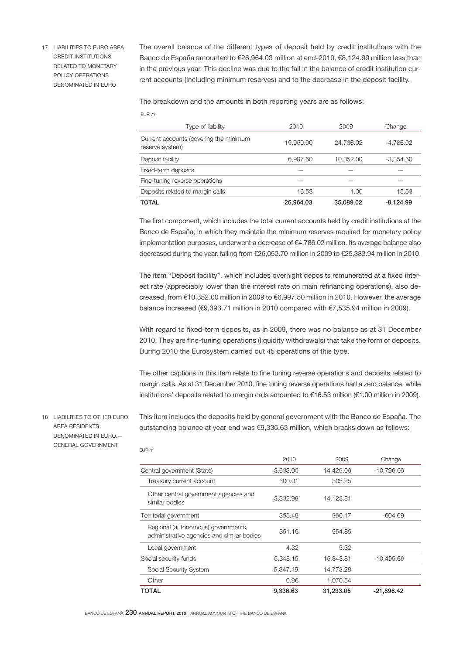17 LIABILITIES TO EURO AREA CREDIT INSTITUTIONS RELATED TO MONETARY POLICY OPERATIONS DENOMINATED IN EURO

The overall balance of the different types of deposit held by credit institutions with the Banco de España amounted to €26,964.03 million at end-2010, €8,124.99 million less than in the previous year. This decline was due to the fall in the balance of credit institution current accounts (including minimum reserves) and to the decrease in the deposit facility.

The breakdown and the amounts in both reporting years are as follows:

| Type of liability                                         | 2010      | 2009      | Change      |
|-----------------------------------------------------------|-----------|-----------|-------------|
| Current accounts (covering the minimum<br>reserve system) | 19,950.00 | 24,736.02 | -4,786.02   |
| Deposit facility                                          | 6,997.50  | 10,352.00 | $-3,354.50$ |
| Fixed-term deposits                                       |           |           |             |
| Fine-tuning reverse operations                            |           |           |             |
| Deposits related to margin calls                          | 16.53     | 1.00      | 15.53       |
| <b>TOTAL</b>                                              | 26,964.03 | 35,089,02 | $-8.124.99$ |

The first component, which includes the total current accounts held by credit institutions at the Banco de España, in which they maintain the minimum reserves required for monetary policy implementation purposes, underwent a decrease of €4,786.02 million. Its average balance also decreased during the year, falling from €26,052.70 million in 2009 to €25,383.94 million in 2010.

The item "Deposit facility", which includes overnight deposits remunerated at a fixed interest rate (appreciably lower than the interest rate on main refinancing operations), also decreased, from €10,352.00 million in 2009 to €6,997.50 million in 2010. However, the average balance increased (€9,393.71 million in 2010 compared with €7,535.94 million in 2009).

With regard to fixed-term deposits, as in 2009, there was no balance as at 31 December 2010. They are fine-tuning operations (liquidity withdrawals) that take the form of deposits. During 2010 the Eurosystem carried out 45 operations of this type.

The other captions in this item relate to fine tuning reverse operations and deposits related to margin calls. As at 31 December 2010, fine tuning reverse operations had a zero balance, while institutions' deposits related to margin calls amounted to €16.53 million (€1.00 million in 2009).

18 LIABILITIES TO OTHER EURO AREA RESIDENTS DENOMINATED IN EURO.— GENERAL GOVERNMENT

EUR m

This item includes the deposits held by general government with the Banco de España. The outstanding balance at year-end was €9,336.63 million, which breaks down as follows:

| TOTAL                                                                            | 9,336.63 | 31.233.05 | -21.896.42   |
|----------------------------------------------------------------------------------|----------|-----------|--------------|
| Other                                                                            | 0.96     | 1,070.54  |              |
| Social Security System                                                           | 5,347.19 | 14,773.28 |              |
| Social security funds                                                            | 5,348.15 | 15,843.81 | $-10,495.66$ |
| Local government                                                                 | 4.32     | 5.32      |              |
| Regional (autonomous) governments,<br>administrative agencies and similar bodies | 351.16   | 954.85    |              |
| Territorial government                                                           | 355.48   | 960.17    | $-604.69$    |
| Other central government agencies and<br>similar bodies                          | 3,332.98 | 14,123.81 |              |
| Treasury current account                                                         | 300.01   | 305.25    |              |
| Central government (State)                                                       | 3,633.00 | 14,429.06 | $-10,796.06$ |
|                                                                                  | 2010     | 2009      | Change       |
| EUR III                                                                          |          |           |              |

BANCO DE ESPAÑA 230 ANNUAL REPORT, 2010 ANNUAL ACCOUNTS OF THE BANCO DE ESPAÑA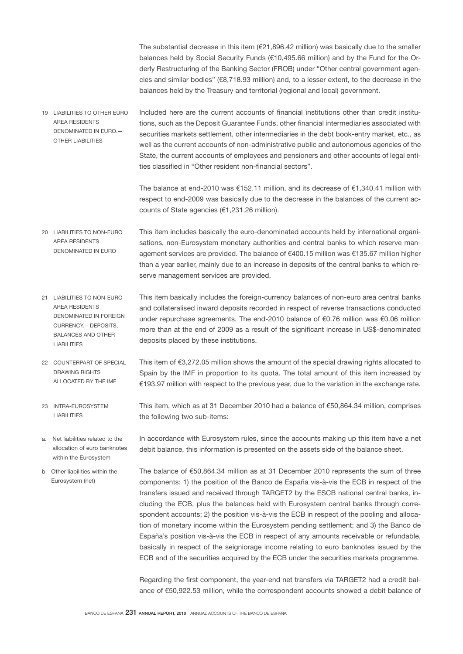The substantial decrease in this item  $(€21,896.42$  million) was basically due to the smaller balances held by Social Security Funds (€10,495.66 million) and by the Fund for the Orderly Restructuring of the Banking Sector (FROB) under "Other central government agencies and similar bodies" (€8,718.93 million) and, to a lesser extent, to the decrease in the balances held by the Treasury and territorial (regional and local) government.

Included here are the current accounts of financial institutions other than credit institutions, such as the Deposit Guarantee Funds, other financial intermediaries associated with securities markets settlement, other intermediaries in the debt book-entry market, etc., as well as the current accounts of non-administrative public and autonomous agencies of the State, the current accounts of employees and pensioners and other accounts of legal entities classified in "Other resident non-financial sectors". 19 LIABILITIES TO OTHER EURO AREA RESIDENTS DENOMINATED IN EURO.— OTHER LIABILITIES

> The balance at end-2010 was €152.11 million, and its decrease of €1,340.41 million with respect to end-2009 was basically due to the decrease in the balances of the current accounts of State agencies (€1,231.26 million).

- This item includes basically the euro-denominated accounts held by international organisations, non-Eurosystem monetary authorities and central banks to which reserve management services are provided. The balance of €400.15 million was €135.67 million higher than a year earlier, mainly due to an increase in deposits of the central banks to which reserve management services are provided. 20 LIABILITIES TO NON-EURO AREA RESIDENTS DENOMINATED IN EURO
- This item basically includes the foreign-currency balances of non-euro area central banks and collateralised inward deposits recorded in respect of reverse transactions conducted under repurchase agreements. The end-2010 balance of €0.76 million was €0.06 million more than at the end of 2009 as a result of the significant increase in US\$-denominated deposits placed by these institutions. 21 LIABILITIES TO NON-EURO AREA RESIDENTS DENOMINATED IN FOREIGN CURRENCY.—DEPOSITS, BALANCES AND OTHER LIABILITIES
- This item of €3,272.05 million shows the amount of the special drawing rights allocated to Spain by the IMF in proportion to its quota. The total amount of this item increased by €193.97 million with respect to the previous year, due to the variation in the exchange rate. 22 COUNTERPART OF SPECIAL DRAWING RIGHTS ALLOCATED BY THE IMF
- This item, which as at 31 December 2010 had a balance of €50,864.34 million, comprises the following two sub-items: 23 INTRA-EUROSYSTEM LIABILITIES
- a. Net liabilities related to the allocation of euro banknotes within the Eurosystem

Eurosystem (net)

- In accordance with Eurosystem rules, since the accounts making up this item have a net debit balance, this information is presented on the assets side of the balance sheet.
- The balance of €50,864.34 million as at 31 December 2010 represents the sum of three components: 1) the position of the Banco de España vis-à-vis the ECB in respect of the transfers issued and received through TARGET2 by the ESCB national central banks, including the ECB, plus the balances held with Eurosystem central banks through correspondent accounts; 2) the position vis-à-vis the ECB in respect of the pooling and allocation of monetary income within the Eurosystem pending settlement; and 3) the Banco de España's position vis-à-vis the ECB in respect of any amounts receivable or refundable, basically in respect of the seigniorage income relating to euro banknotes issued by the ECB and of the securities acquired by the ECB under the securities markets programme. b Other liabilities within the

Regarding the first component, the year-end net transfers via TARGET2 had a credit balance of €50,922.53 million, while the correspondent accounts showed a debit balance of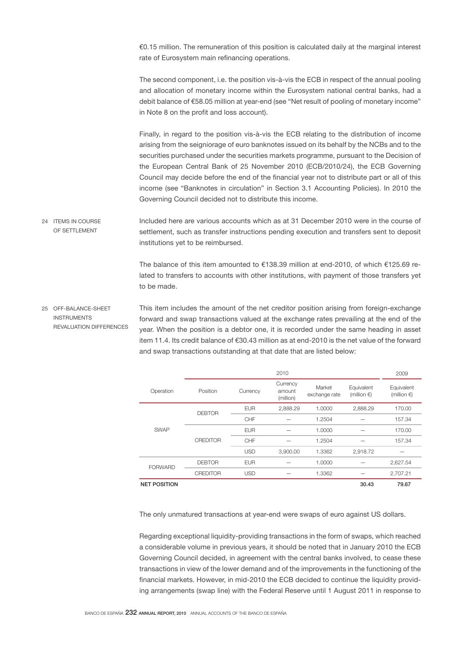€0.15 million. The remuneration of this position is calculated daily at the marginal interest rate of Eurosystem main refinancing operations.

The second component, i.e. the position vis-à-vis the ECB in respect of the annual pooling and allocation of monetary income within the Eurosystem national central banks, had a debit balance of €58.05 million at year-end (see "Net result of pooling of monetary income" in Note 8 on the profit and loss account).

Finally, in regard to the position vis-à-vis the ECB relating to the distribution of income arising from the seigniorage of euro banknotes issued on its behalf by the NCBs and to the securities purchased under the securities markets programme, pursuant to the Decision of the European Central Bank of 25 November 2010 (ECB/2010/24), the ECB Governing Council may decide before the end of the financial year not to distribute part or all of this income (see "Banknotes in circulation" in Section 3.1 Accounting Policies). In 2010 the Governing Council decided not to distribute this income.

Included here are various accounts which as at 31 December 2010 were in the course of settlement, such as transfer instructions pending execution and transfers sent to deposit institutions yet to be reimbursed. 24 ITEMS IN COURSE OF SETTLEMENT

> The balance of this item amounted to €138.39 million at end-2010, of which €125.69 related to transfers to accounts with other institutions, with payment of those transfers yet to be made.

This item includes the amount of the net creditor position arising from foreign-exchange forward and swap transactions valued at the exchange rates prevailing at the end of the year. When the position is a debtor one, it is recorded under the same heading in asset item 11.4. Its credit balance of €30.43 million as at end-2010 is the net value of the forward and swap transactions outstanding at that date that are listed below: 25 OFF-BALANCE-SHEET INSTRUMENTS REVALUATION DIFFERENCES

|                     |                 |            | 2010                            |                         |                                     | 2009                                |
|---------------------|-----------------|------------|---------------------------------|-------------------------|-------------------------------------|-------------------------------------|
| Operation           | Position        | Currency   | Currency<br>amount<br>(million) | Market<br>exchange rate | Equivalent<br>(million $\epsilon$ ) | Equivalent<br>(million $\epsilon$ ) |
| <b>SWAP</b>         | <b>DEBTOR</b>   | <b>EUR</b> | 2,888.29                        | 1.0000                  | 2,888.29                            | 170.00                              |
|                     |                 | CHF        |                                 | 1.2504                  |                                     | 157.34                              |
|                     |                 | <b>EUR</b> |                                 | 1.0000                  |                                     | 170.00                              |
|                     | <b>CREDITOR</b> | CHF        |                                 | 1.2504                  |                                     | 157.34                              |
|                     |                 | <b>USD</b> | 3,900.00                        | 1.3362                  | 2,918.72                            |                                     |
| <b>FORWARD</b>      | <b>DEBTOR</b>   | <b>EUR</b> |                                 | 1.0000                  |                                     | 2,627.54                            |
|                     | <b>CREDITOR</b> | <b>USD</b> |                                 | 1.3362                  |                                     | 2,707.21                            |
| <b>NET POSITION</b> |                 |            |                                 |                         | 30.43                               | 79.67                               |

The only unmatured transactions at year-end were swaps of euro against US dollars.

Regarding exceptional liquidity-providing transactions in the form of swaps, which reached a considerable volume in previous years, it should be noted that in January 2010 the ECB Governing Council decided, in agreement with the central banks involved, to cease these transactions in view of the lower demand and of the improvements in the functioning of the financial markets. However, in mid-2010 the ECB decided to continue the liquidity providing arrangements (swap line) with the Federal Reserve until 1 August 2011 in response to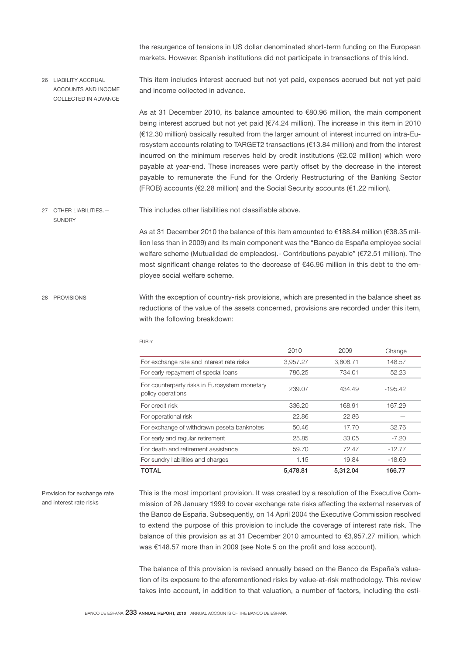the resurgence of tensions in US dollar denominated short-term funding on the European markets. However, Spanish institutions did not participate in transactions of this kind.

This item includes interest accrued but not yet paid, expenses accrued but not yet paid and income collected in advance. 26 LIABILITY ACCRUAL ACCOUNTS AND INCOME COLLECTED IN ADVANCE

> As at 31 December 2010, its balance amounted to €80.96 million, the main component being interest accrued but not yet paid (€74.24 million). The increase in this item in 2010 (€12.30 million) basically resulted from the larger amount of interest incurred on intra-Eurosystem accounts relating to TARGET2 transactions (€13.84 million) and from the interest incurred on the minimum reserves held by credit institutions (€2.02 million) which were payable at year-end. These increases were partly offset by the decrease in the interest payable to remunerate the Fund for the Orderly Restructuring of the Banking Sector (FROB) accounts (€2.28 million) and the Social Security accounts (€1.22 milion).

This includes other liabilities not classifiable above. 27 OTHER LIABILITIES.—

> As at 31 December 2010 the balance of this item amounted to €188.84 million (€38.35 million less than in 2009) and its main component was the "Banco de España employee social welfare scheme (Mutualidad de empleados).- Contributions payable" (€72.51 million). The most significant change relates to the decrease of  $€46.96$  million in this debt to the employee social welfare scheme.

With the exception of country-risk provisions, which are presented in the balance sheet as reductions of the value of the assets concerned, provisions are recorded under this item, with the following breakdown: 28 PROVISIONS

| <b>TOTAL</b>                                                       | 5.478.81 | 5.312.04 | 166.77    |
|--------------------------------------------------------------------|----------|----------|-----------|
| For sundry liabilities and charges                                 | 1.15     | 19.84    | $-18.69$  |
| For death and retirement assistance                                | 59.70    | 72.47    | $-12.77$  |
| For early and regular retirement                                   | 25.85    | 33.05    | $-7.20$   |
| For exchange of withdrawn peseta banknotes                         | 50.46    | 17.70    | 32.76     |
| For operational risk                                               | 22.86    | 22.86    |           |
| For credit risk                                                    | 336.20   | 168.91   | 167.29    |
| For counterparty risks in Eurosystem monetary<br>policy operations | 239.07   | 434.49   | $-195.42$ |
| For early repayment of special loans                               | 786.25   | 734.01   | 52.23     |
| For exchange rate and interest rate risks                          | 3,957.27 | 3,808.71 | 148.57    |
|                                                                    | 2010     | 2009     | Change    |

EUR m

Provision for exchange rate and interest rate risks

**SUNDRY** 

This is the most important provision. It was created by a resolution of the Executive Commission of 26 January 1999 to cover exchange rate risks affecting the external reserves of the Banco de España. Subsequently, on 14 April 2004 the Executive Commission resolved to extend the purpose of this provision to include the coverage of interest rate risk. The balance of this provision as at 31 December 2010 amounted to €3,957.27 million, which was €148.57 more than in 2009 (see Note 5 on the profit and loss account).

The balance of this provision is revised annually based on the Banco de España's valuation of its exposure to the aforementioned risks by value-at-risk methodology. This review takes into account, in addition to that valuation, a number of factors, including the esti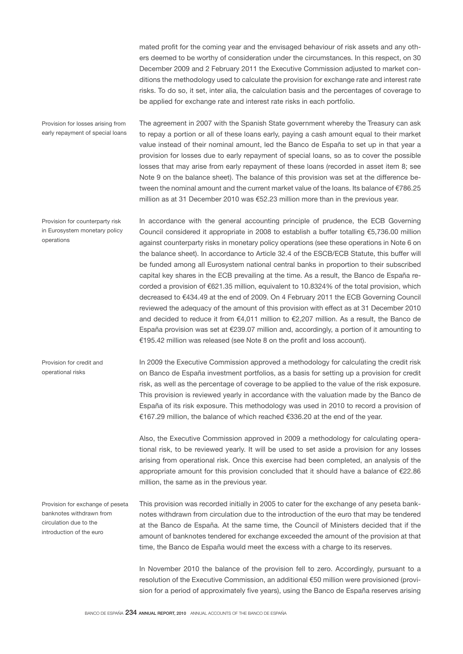mated profit for the coming year and the envisaged behaviour of risk assets and any others deemed to be worthy of consideration under the circumstances. In this respect, on 30 December 2009 and 2 February 2011 the Executive Commission adjusted to market conditions the methodology used to calculate the provision for exchange rate and interest rate risks. To do so, it set, inter alia, the calculation basis and the percentages of coverage to be applied for exchange rate and interest rate risks in each portfolio.

Provision for losses arising from early repayment of special loans The agreement in 2007 with the Spanish State government whereby the Treasury can ask to repay a portion or all of these loans early, paying a cash amount equal to their market value instead of their nominal amount, led the Banco de España to set up in that year a provision for losses due to early repayment of special loans, so as to cover the possible losses that may arise from early repayment of these loans (recorded in asset item 8; see Note 9 on the balance sheet). The balance of this provision was set at the difference between the nominal amount and the current market value of the loans. Its balance of €786.25 million as at 31 December 2010 was €52.23 million more than in the previous year.

Provision for counterparty risk in Eurosystem monetary policy operations

In accordance with the general accounting principle of prudence, the ECB Governing Council considered it appropriate in 2008 to establish a buffer totalling €5,736.00 million against counterparty risks in monetary policy operations (see these operations in Note 6 on the balance sheet). In accordance to Article 32.4 of the ESCB/ECB Statute, this buffer will be funded among all Eurosystem national central banks in proportion to their subscribed capital key shares in the ECB prevailing at the time. As a result, the Banco de España recorded a provision of €621.35 million, equivalent to 10.8324% of the total provision, which decreased to €434.49 at the end of 2009. On 4 February 2011 the ECB Governing Council reviewed the adequacy of the amount of this provision with effect as at 31 December 2010 and decided to reduce it from €4,011 million to €2,207 million. As a result, the Banco de España provision was set at €239.07 million and, accordingly, a portion of it amounting to €195.42 million was released (see Note 8 on the profit and loss account).

In 2009 the Executive Commission approved a methodology for calculating the credit risk on Banco de España investment portfolios, as a basis for setting up a provision for credit risk, as well as the percentage of coverage to be applied to the value of the risk exposure. This provision is reviewed yearly in accordance with the valuation made by the Banco de España of its risk exposure. This methodology was used in 2010 to record a provision of €167.29 million, the balance of which reached €336.20 at the end of the year.

Also, the Executive Commission approved in 2009 a methodology for calculating operational risk, to be reviewed yearly. It will be used to set aside a provision for any losses arising from operational risk. Once this exercise had been completed, an analysis of the appropriate amount for this provision concluded that it should have a balance of €22.86 million, the same as in the previous year.

This provision was recorded initially in 2005 to cater for the exchange of any peseta banknotes withdrawn from circulation due to the introduction of the euro that may be tendered at the Banco de España. At the same time, the Council of Ministers decided that if the amount of banknotes tendered for exchange exceeded the amount of the provision at that time, the Banco de España would meet the excess with a charge to its reserves. Provision for exchange of peseta banknotes withdrawn from circulation due to the introduction of the euro

> In November 2010 the balance of the provision fell to zero. Accordingly, pursuant to a resolution of the Executive Commission, an additional €50 million were provisioned (provision for a period of approximately five years), using the Banco de España reserves arising

operational risks

Provision for credit and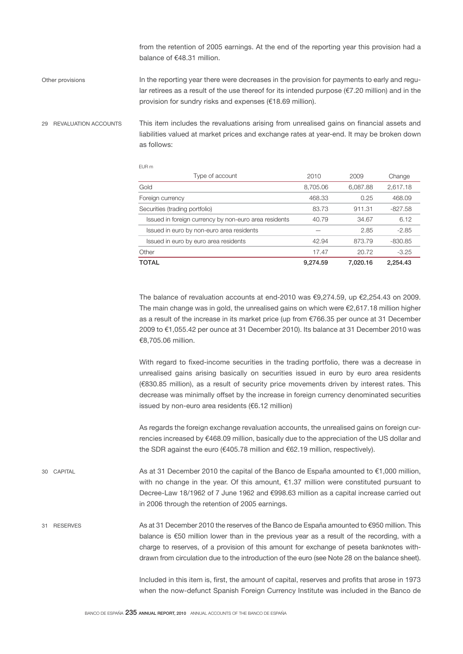from the retention of 2005 earnings. At the end of the reporting year this provision had a balance of €48.31 million.

In the reporting year there were decreases in the provision for payments to early and regular retirees as a result of the use thereof for its intended purpose ( $\epsilon$ 7.20 million) and in the provision for sundry risks and expenses (€18.69 million). Other provisions

29 REVALUATION ACCOUNTS

This item includes the revaluations arising from unrealised gains on financial assets and liabilities valued at market prices and exchange rates at year-end. It may be broken down as follows:

EUR m

| Type of account                                       | 2010     | 2009     | Change    |
|-------------------------------------------------------|----------|----------|-----------|
| Gold                                                  | 8,705.06 | 6,087.88 | 2,617.18  |
| Foreign currency                                      | 468.33   | 0.25     | 468.09    |
| Securities (trading portfolio)                        | 83.73    | 911.31   | $-827.58$ |
| Issued in foreign currency by non-euro area residents | 40.79    | 34.67    | 6.12      |
| Issued in euro by non-euro area residents             |          | 2.85     | $-2.85$   |
| Issued in euro by euro area residents                 | 42.94    | 873.79   | $-830.85$ |
| Other                                                 | 17.47    | 20.72    | $-3.25$   |
| TOTAL                                                 | 9.274.59 | 7.020.16 | 2.254.43  |

The balance of revaluation accounts at end-2010 was  $\epsilon$ 9,274.59, up  $\epsilon$ 2,254.43 on 2009. The main change was in gold, the unrealised gains on which were  $\epsilon$ 2,617.18 million higher as a result of the increase in its market price (up from €766.35 per ounce at 31 December 2009 to €1,055.42 per ounce at 31 December 2010). Its balance at 31 December 2010 was €8,705.06 million.

With regard to fixed-income securities in the trading portfolio, there was a decrease in unrealised gains arising basically on securities issued in euro by euro area residents (€830.85 million), as a result of security price movements driven by interest rates. This decrease was minimally offset by the increase in foreign currency denominated securities issued by non-euro area residents (€6.12 million)

As regards the foreign exchange revaluation accounts, the unrealised gains on foreign currencies increased by €468.09 million, basically due to the appreciation of the US dollar and the SDR against the euro (€405.78 million and €62.19 million, respectively).

As at 31 December 2010 the capital of the Banco de España amounted to €1,000 million, with no change in the year. Of this amount, €1.37 million were constituted pursuant to Decree-Law 18/1962 of 7 June 1962 and €998.63 million as a capital increase carried out in 2006 through the retention of 2005 earnings. 30 CAPITAL

As at 31 December 2010 the reserves of the Banco de España amounted to €950 million. This balance is €50 million lower than in the previous year as a result of the recording, with a charge to reserves, of a provision of this amount for exchange of peseta banknotes withdrawn from circulation due to the introduction of the euro (see Note 28 on the balance sheet). 31 RESERVES

> Included in this item is, first, the amount of capital, reserves and profits that arose in 1973 when the now-defunct Spanish Foreign Currency Institute was included in the Banco de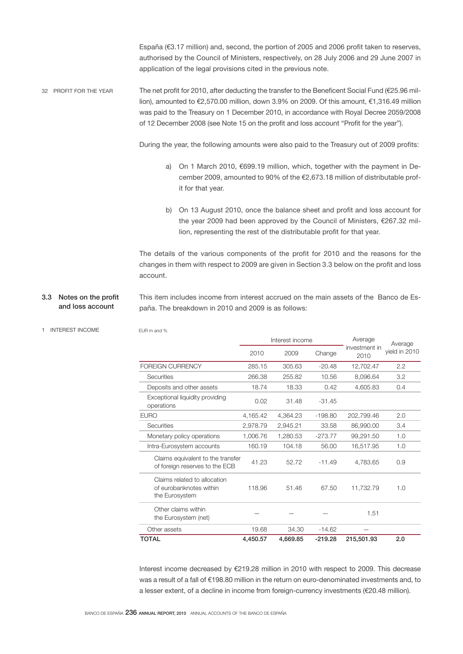España (€3.17 million) and, second, the portion of 2005 and 2006 profit taken to reserves, authorised by the Council of Ministers, respectively, on 28 July 2006 and 29 June 2007 in application of the legal provisions cited in the previous note.

The net profit for 2010, after deducting the transfer to the Beneficent Social Fund (€25.96 million), amounted to €2,570.00 million, down 3.9% on 2009. Of this amount, €1,316.49 million was paid to the Treasury on 1 December 2010, in accordance with Royal Decree 2059/2008 of 12 December 2008 (see Note 15 on the profit and loss account "Profit for the year"). 32 PROFIT FOR THE YEAR

During the year, the following amounts were also paid to the Treasury out of 2009 profits:

- a) On 1 March 2010, €699.19 million, which, together with the payment in December 2009, amounted to 90% of the €2,673.18 million of distributable profit for that year.
- b) On 13 August 2010, once the balance sheet and profit and loss account for the year 2009 had been approved by the Council of Ministers, €267.32 million, representing the rest of the distributable profit for that year.

The details of the various components of the profit for 2010 and the reasons for the changes in them with respect to 2009 are given in Section 3.3 below on the profit and loss account.

- This item includes income from interest accrued on the main assets of the Banco de España. The breakdown in 2010 and 2009 is as follows: 3.3 Notes on the profit and loss account
- 1 INTEREST INCOME

EUR m and %

|                                                                           | Interest income |          | Average   | Average               |               |
|---------------------------------------------------------------------------|-----------------|----------|-----------|-----------------------|---------------|
|                                                                           | 2010            | 2009     | Change    | investment in<br>2010 | yield in 2010 |
| <b>FOREIGN CURRENCY</b>                                                   | 285.15          | 305.63   | $-20.48$  | 12,702.47             | 2.2           |
| Securities                                                                | 266.38          | 255.82   | 10.56     | 8,096.64              | 3.2           |
| Deposits and other assets                                                 | 18.74           | 18.33    | 0.42      | 4,605.83              | 0.4           |
| Exceptional liquidity providing<br>operations                             | 0.02            | 31.48    | $-31.45$  |                       |               |
| <b>EURO</b>                                                               | 4,165.42        | 4,364.23 | $-198.80$ | 202,799.46            | 2.0           |
| Securities                                                                | 2,978.79        | 2.945.21 | 33.58     | 86,990.00             | 3.4           |
| Monetary policy operations                                                | 1,006.76        | 1,280.53 | $-273.77$ | 99,291.50             | 1.0           |
| Intra-Eurosystem accounts                                                 | 160.19          | 104.18   | 56.00     | 16,517.95             | 1.0           |
| Claims equivalent to the transfer<br>of foreign reserves to the ECB       | 41.23           | 52.72    | $-11.49$  | 4,783.65              | 0.9           |
| Claims related to allocation<br>of eurobanknotes within<br>the Eurosystem | 118.96          | 51.46    | 67.50     | 11.732.79             | 1.0           |
| Other claims within<br>the Eurosystem (net)                               |                 |          |           | 1.51                  |               |
| Other assets                                                              | 19.68           | 34.30    | $-14.62$  |                       |               |
| <b>TOTAL</b>                                                              | 4,450.57        | 4,669.85 | $-219.28$ | 215,501.93            | 2.0           |

Interest income decreased by €219.28 million in 2010 with respect to 2009. This decrease was a result of a fall of €198.80 million in the return on euro-denominated investments and, to a lesser extent, of a decline in income from foreign-currency investments (€20.48 million).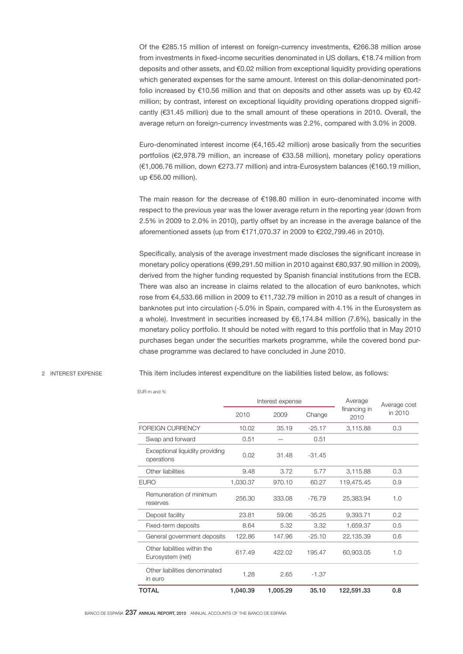Of the €285.15 million of interest on foreign-currency investments, €266.38 million arose from investments in fixed-income securities denominated in US dollars, €18.74 million from deposits and other assets, and €0.02 million from exceptional liquidity providing operations which generated expenses for the same amount. Interest on this dollar-denominated portfolio increased by €10.56 million and that on deposits and other assets was up by €0.42 million; by contrast, interest on exceptional liquidity providing operations dropped significantly (€31.45 million) due to the small amount of these operations in 2010. Overall, the average return on foreign-currency investments was 2.2%, compared with 3.0% in 2009.

Euro-denominated interest income (€4,165.42 million) arose basically from the securities portfolios (€2,978.79 million, an increase of €33.58 million), monetary policy operations (€1,006.76 million, down €273.77 million) and intra-Eurosystem balances (€160.19 million, up €56.00 million).

The main reason for the decrease of €198.80 million in euro-denominated income with respect to the previous year was the lower average return in the reporting year (down from 2.5% in 2009 to 2.0% in 2010), partly offset by an increase in the average balance of the aforementioned assets (up from €171,070.37 in 2009 to €202,799.46 in 2010).

Specifically, analysis of the average investment made discloses the significant increase in monetary policy operations (€99,291.50 million in 2010 against €80,937.90 million in 2009), derived from the higher funding requested by Spanish financial institutions from the ECB. There was also an increase in claims related to the allocation of euro banknotes, which rose from €4,533.66 million in 2009 to €11,732.79 million in 2010 as a result of changes in banknotes put into circulation (-5.0% in Spain, compared with 4.1% in the Eurosystem as a whole). Investment in securities increased by €6,174.84 million (7.6%), basically in the monetary policy portfolio. It should be noted with regard to this portfolio that in May 2010 purchases began under the securities markets programme, while the covered bond purchase programme was declared to have concluded in June 2010.

2 INTEREST EXPENSE This item includes interest expenditure on the liabilities listed below, as follows:

|                                                  | Interest expense |          |          | Average              | Average cost |
|--------------------------------------------------|------------------|----------|----------|----------------------|--------------|
|                                                  | 2010             | 2009     | Change   | financing in<br>2010 | in 2010      |
| FOREIGN CURRENCY                                 | 10.02            | 35.19    | $-25.17$ | 3,115.88             | 0.3          |
| Swap and forward                                 | 0.51             |          | 0.51     |                      |              |
| Exceptional liquidity providing<br>operations    | 0.02             | 31.48    | $-31.45$ |                      |              |
| Other liabilities                                | 9.48             | 3.72     | 5.77     | 3,115.88             | 0.3          |
| <b>EURO</b>                                      | 1,030.37         | 970.10   | 60.27    | 119,475.45           | 0.9          |
| Remuneration of minimum<br>reserves              | 256.30           | 333.08   | $-76.79$ | 25,383.94            | 1.0          |
| Deposit facility                                 | 23.81            | 59.06    | $-35.25$ | 9,393.71             | 0.2          |
| Fixed-term deposits                              | 8.64             | 5.32     | 3.32     | 1,659.37             | 0.5          |
| General government deposits                      | 122.86           | 147.96   | $-25.10$ | 22,135.39            | 0.6          |
| Other liabilities within the<br>Eurosystem (net) | 617.49           | 422.02   | 195.47   | 60,903.05            | 1.0          |
| Other liabilities denominated<br>in euro         | 1.28             | 2.65     | $-1.37$  |                      |              |
| TOTAL                                            | 1,040.39         | 1,005.29 | 35.10    | 122,591.33           | 0.8          |

EUR m and %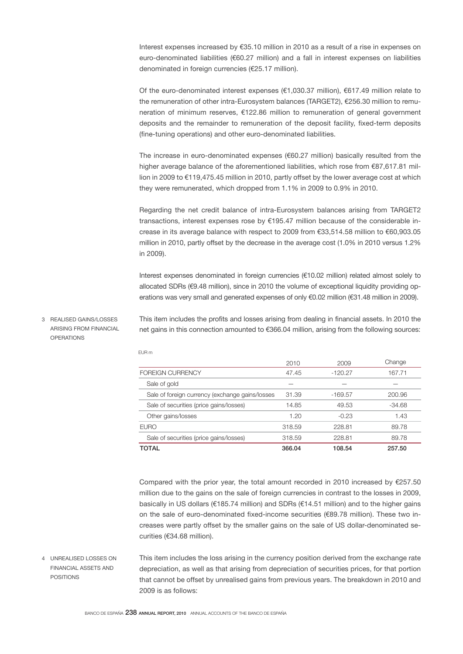Interest expenses increased by €35.10 million in 2010 as a result of a rise in expenses on euro-denominated liabilities (€60.27 million) and a fall in interest expenses on liabilities denominated in foreign currencies (€25.17 million).

Of the euro-denominated interest expenses (€1,030.37 million), €617.49 million relate to the remuneration of other intra-Eurosystem balances (TARGET2), €256.30 million to remuneration of minimum reserves, €122.86 million to remuneration of general government deposits and the remainder to remuneration of the deposit facility, fixed-term deposits (fine-tuning operations) and other euro-denominated liabilities.

The increase in euro-denominated expenses (€60.27 million) basically resulted from the higher average balance of the aforementioned liabilities, which rose from €87,617.81 million in 2009 to €119,475.45 million in 2010, partly offset by the lower average cost at which they were remunerated, which dropped from 1.1% in 2009 to 0.9% in 2010.

Regarding the net credit balance of intra-Eurosystem balances arising from TARGET2 transactions, interest expenses rose by €195.47 million because of the considerable increase in its average balance with respect to 2009 from €33,514.58 million to €60,903.05 million in 2010, partly offset by the decrease in the average cost (1.0% in 2010 versus 1.2% in 2009).

Interest expenses denominated in foreign currencies (€10.02 million) related almost solely to allocated SDRs (€9.48 million), since in 2010 the volume of exceptional liquidity providing operations was very small and generated expenses of only €0.02 million (€31.48 million in 2009).

3 REALISED GAINS/LOSSES ARISING FROM FINANCIAL **OPERATIONS** 

This item includes the profits and losses arising from dealing in financial assets. In 2010 the net gains in this connection amounted to €366.04 million, arising from the following sources:

|                                                 | 2010   | 2009      | Change   |
|-------------------------------------------------|--------|-----------|----------|
| <b>FOREIGN CURRENCY</b>                         | 47.45  | $-120.27$ | 167.71   |
| Sale of gold                                    |        |           |          |
| Sale of foreign currency (exchange gains/losses | 31.39  | $-169.57$ | 200.96   |
| Sale of securities (price gains/losses)         | 14.85  | 49.53     | $-34.68$ |
| Other gains/losses                              | 1.20   | $-0.23$   | 1.43     |
| <b>EURO</b>                                     | 318.59 | 228.81    | 89.78    |
| Sale of securities (price gains/losses)         | 318.59 | 228.81    | 89.78    |
| <b>TOTAL</b>                                    | 366.04 | 108.54    | 257.50   |

Compared with the prior year, the total amount recorded in 2010 increased by  $E$ 257.50 million due to the gains on the sale of foreign currencies in contrast to the losses in 2009, basically in US dollars (€185.74 million) and SDRs (€14.51 million) and to the higher gains on the sale of euro-denominated fixed-income securities (€89.78 million). These two increases were partly offset by the smaller gains on the sale of US dollar-denominated securities (€34.68 million).

This item includes the loss arising in the currency position derived from the exchange rate depreciation, as well as that arising from depreciation of securities prices, for that portion that cannot be offset by unrealised gains from previous years. The breakdown in 2010 and 2009 is as follows: 4 UNREALISED LOSSES ON FINANCIAL ASSETS AND POSITIONS

EUR m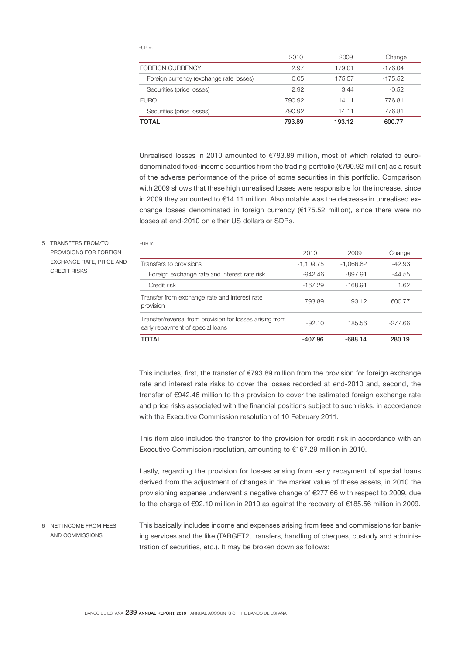EUR m

EUR m

|                                         | 2010   | 2009   | Change    |
|-----------------------------------------|--------|--------|-----------|
| <b>FOREIGN CURRENCY</b>                 | 2.97   | 179.01 | $-176.04$ |
| Foreign currency (exchange rate losses) | 0.05   | 175.57 | -175.52   |
| Securities (price losses)               | 2.92   | 3.44   | $-0.52$   |
| <b>EURO</b>                             | 790.92 | 14.11  | 776.81    |
| Securities (price losses)               | 790.92 | 14.11  | 776.81    |
| <b>TOTAL</b>                            | 793.89 | 193.12 | 600.77    |

Unrealised losses in 2010 amounted to €793.89 million, most of which related to eurodenominated fixed-income securities from the trading portfolio (€790.92 million) as a result of the adverse performance of the price of some securities in this portfolio. Comparison with 2009 shows that these high unrealised losses were responsible for the increase, since in 2009 they amounted to €14.11 million. Also notable was the decrease in unrealised exchange losses denominated in foreign currency (€175.52 million), since there were no losses at end-2010 on either US dollars or SDRs.

# 5 TRANSFERS FROM/TO PROVISIONS FOR FOREIGN EXCHANGE RATE, PRICE AND CREDIT RISKS

|                                                                                              | 2010        | 2009        | Change    |
|----------------------------------------------------------------------------------------------|-------------|-------------|-----------|
| Transfers to provisions                                                                      | $-1,109.75$ | $-1,066.82$ | -42.93    |
| Foreign exchange rate and interest rate risk                                                 | $-942.46$   | $-897.91$   | -44.55    |
| Credit risk                                                                                  | $-167.29$   | $-168.91$   | 1.62      |
| Transfer from exchange rate and interest rate<br>provision                                   | 793.89      | 193.12      | 600.77    |
| Transfer/reversal from provision for losses arising from<br>early repayment of special loans | $-92.10$    | 185.56      | $-277.66$ |
| <b>TOTAL</b>                                                                                 | -407.96     | $-688.14$   | 280.19    |

This includes, first, the transfer of €793.89 million from the provision for foreign exchange rate and interest rate risks to cover the losses recorded at end-2010 and, second, the transfer of €942.46 million to this provision to cover the estimated foreign exchange rate and price risks associated with the financial positions subject to such risks, in accordance with the Executive Commission resolution of 10 February 2011.

This item also includes the transfer to the provision for credit risk in accordance with an Executive Commission resolution, amounting to €167.29 million in 2010.

Lastly, regarding the provision for losses arising from early repayment of special loans derived from the adjustment of changes in the market value of these assets, in 2010 the provisioning expense underwent a negative change of €277.66 with respect to 2009, due to the charge of €92.10 million in 2010 as against the recovery of €185.56 million in 2009.

This basically includes income and expenses arising from fees and commissions for banking services and the like (TARGET2, transfers, handling of cheques, custody and administration of securities, etc.). It may be broken down as follows: 6 NET INCOME FROM FEES AND COMMISSIONS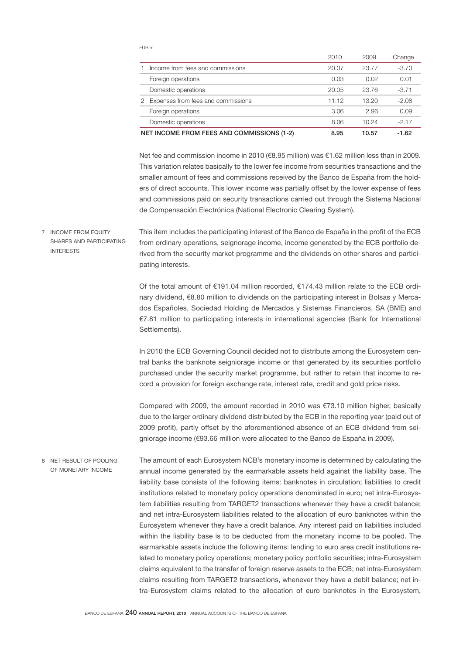EUR m

|   |                                            | 2010  | 2009  | Change  |
|---|--------------------------------------------|-------|-------|---------|
|   | Income from fees and commissions           | 20.07 | 23.77 | $-3.70$ |
|   | Foreign operations                         | 0.03  | 0.02  | 0.01    |
|   | Domestic operations                        | 20.05 | 23.76 | $-3.71$ |
| 2 | Expenses from fees and commissions         | 11.12 | 13.20 | $-2.08$ |
|   | Foreign operations                         | 3.06  | 2.96  | 0.09    |
|   | Domestic operations                        | 8.06  | 10.24 | $-2.17$ |
|   | NET INCOME FROM FEES AND COMMISSIONS (1-2) | 8.95  | 10.57 | $-1.62$ |

Net fee and commission income in 2010 (€8.95 million) was €1.62 million less than in 2009. This variation relates basically to the lower fee income from securities transactions and the smaller amount of fees and commissions received by the Banco de España from the holders of direct accounts. This lower income was partially offset by the lower expense of fees and commissions paid on security transactions carried out through the Sistema Nacional de Compensación Electrónica (National Electronic Clearing System).

This item includes the participating interest of the Banco de España in the profit of the ECB from ordinary operations, seignorage income, income generated by the ECB portfolio derived from the security market programme and the dividends on other shares and participating interests. 7 INCOME FROM EQUITY SHARES AND PARTICIPATING INTERESTS

> Of the total amount of €191.04 million recorded, €174.43 million relate to the ECB ordinary dividend, €8.80 million to dividends on the participating interest in Bolsas y Mercados Españoles, Sociedad Holding de Mercados y Sistemas Financieros, SA (BME) and €7.81 million to participating interests in international agencies (Bank for International Settlements).

> In 2010 the ECB Governing Council decided not to distribute among the Eurosystem central banks the banknote seigniorage income or that generated by its securities portfolio purchased under the security market programme, but rather to retain that income to record a provision for foreign exchange rate, interest rate, credit and gold price risks.

> Compared with 2009, the amount recorded in 2010 was  $€73.10$  million higher, basically due to the larger ordinary dividend distributed by the ECB in the reporting year (paid out of 2009 profit), partly offset by the aforementioned absence of an ECB dividend from seigniorage income (€93.66 million were allocated to the Banco de España in 2009).

The amount of each Eurosystem NCB's monetary income is determined by calculating the annual income generated by the earmarkable assets held against the liability base. The liability base consists of the following items: banknotes in circulation; liabilities to credit institutions related to monetary policy operations denominated in euro; net intra-Eurosystem liabilities resulting from TARGET2 transactions whenever they have a credit balance; and net intra-Eurosystem liabilities related to the allocation of euro banknotes within the Eurosystem whenever they have a credit balance. Any interest paid on liabilities included within the liability base is to be deducted from the monetary income to be pooled. The earmarkable assets include the following items: lending to euro area credit institutions related to monetary policy operations; monetary policy portfolio securities; intra-Eurosystem claims equivalent to the transfer of foreign reserve assets to the ECB; net intra-Eurosystem claims resulting from TARGET2 transactions, whenever they have a debit balance; net intra-Eurosystem claims related to the allocation of euro banknotes in the Eurosystem, 8 NET RESULT OF POOLING OF MONETARY INCOME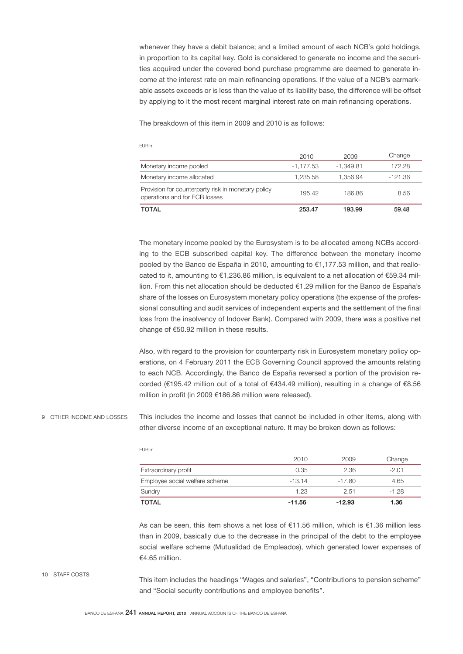whenever they have a debit balance; and a limited amount of each NCB's gold holdings, in proportion to its capital key. Gold is considered to generate no income and the securities acquired under the covered bond purchase programme are deemed to generate income at the interest rate on main refinancing operations. If the value of a NCB's earmarkable assets exceeds or is less than the value of its liability base, the difference will be offset by applying to it the most recent marginal interest rate on main refinancing operations.

The breakdown of this item in 2009 and 2010 is as follows:

|                                                                                     | 2010        | 2009        | Change  |
|-------------------------------------------------------------------------------------|-------------|-------------|---------|
| Monetary income pooled                                                              | $-1,177.53$ | $-1.349.81$ | 172.28  |
| Monetary income allocated                                                           | 1.235.58    | 1.356.94    | -121.36 |
| Provision for counterparty risk in monetary policy<br>operations and for ECB losses | 195.42      | 186.86      | 8.56    |
| <b>TOTAL</b>                                                                        | 253.47      | 193.99      | 59.48   |

The monetary income pooled by the Eurosystem is to be allocated among NCBs according to the ECB subscribed capital key. The difference between the monetary income pooled by the Banco de España in 2010, amounting to €1,177.53 million, and that reallocated to it, amounting to €1,236.86 million, is equivalent to a net allocation of €59.34 million. From this net allocation should be deducted €1.29 million for the Banco de España's share of the losses on Eurosystem monetary policy operations (the expense of the professional consulting and audit services of independent experts and the settlement of the final loss from the insolvency of Indover Bank). Compared with 2009, there was a positive net change of €50.92 million in these results.

Also, with regard to the provision for counterparty risk in Eurosystem monetary policy operations, on 4 February 2011 the ECB Governing Council approved the amounts relating to each NCB. Accordingly, the Banco de España reversed a portion of the provision recorded (€195.42 million out of a total of €434.49 million), resulting in a change of €8.56 million in profit (in 2009 €186.86 million were released).

This includes the income and losses that cannot be included in other items, along with other diverse income of an exceptional nature. It may be broken down as follows: 9 OTHER INCOME AND LOSSES

|                                | 2010     | 2009     | Change  |
|--------------------------------|----------|----------|---------|
| Extraordinary profit           | 0.35     | 2.36     | $-2.01$ |
| Employee social welfare scheme | $-13.14$ | -17.80   | 4.65    |
| Sundry                         | 1.23     | 2.51     | $-1.28$ |
| <b>TOTAL</b>                   | $-11.56$ | $-12.93$ | 1.36    |

As can be seen, this item shows a net loss of  $\epsilon$ 11.56 million, which is  $\epsilon$ 1.36 million less than in 2009, basically due to the decrease in the principal of the debt to the employee social welfare scheme (Mutualidad de Empleados), which generated lower expenses of €4.65 million.

10 STAFF COSTS

This item includes the headings "Wages and salaries", "Contributions to pension scheme" and "Social security contributions and employee benefits".

## EUR m

EUR m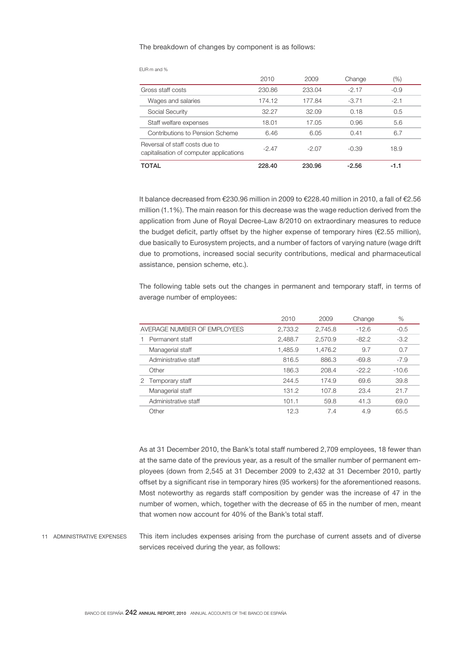### The breakdown of changes by component is as follows:

|                                                                           | 2010   | 2009   | Change  | $(\%)$ |
|---------------------------------------------------------------------------|--------|--------|---------|--------|
| Gross staff costs                                                         | 230.86 | 233.04 | $-2.17$ | $-0.9$ |
| Wages and salaries                                                        | 174.12 | 177.84 | $-3.71$ | $-2.1$ |
| Social Security                                                           | 32.27  | 32.09  | 0.18    | 0.5    |
| Staff welfare expenses                                                    | 18.01  | 17.05  | 0.96    | 5.6    |
| Contributions to Pension Scheme                                           | 6.46   | 6.05   | 0.41    | 6.7    |
| Reversal of staff costs due to<br>capitalisation of computer applications | -2.47  | -2.07  | $-0.39$ | 18.9   |

EUR m and %

It balance decreased from €230.96 million in 2009 to €228.40 million in 2010, a fall of €2.56 million (1.1%). The main reason for this decrease was the wage reduction derived from the

TOTAL 228.40 230.96 -2.56 -1.1

application from June of Royal Decree-Law 8/2010 on extraordinary measures to reduce the budget deficit, partly offset by the higher expense of temporary hires ( $E2.55$  million), due basically to Eurosystem projects, and a number of factors of varying nature (wage drift due to promotions, increased social security contributions, medical and pharmaceutical assistance, pension scheme, etc.).

The following table sets out the changes in permanent and temporary staff, in terms of average number of employees:

|                             | 2010    | 2009    | Change  | %       |
|-----------------------------|---------|---------|---------|---------|
| AVERAGE NUMBER OF EMPLOYEES | 2,733.2 | 2,745.8 | $-12.6$ | $-0.5$  |
| Permanent staff             | 2,488.7 | 2,570.9 | $-82.2$ | $-3.2$  |
| Managerial staff            | 1,485.9 | 1,476.2 | 9.7     | 0.7     |
| Administrative staff        | 816.5   | 886.3   | $-69.8$ | $-7.9$  |
| Other                       | 186.3   | 208.4   | $-22.2$ | $-10.6$ |
| Temporary staff<br>2        | 244.5   | 174.9   | 69.6    | 39.8    |
| Managerial staff            | 131.2   | 107.8   | 23.4    | 21.7    |
| Administrative staff        | 101.1   | 59.8    | 41.3    | 69.0    |
| Other                       | 12.3    | 7.4     | 4.9     | 65.5    |

As at 31 December 2010, the Bank's total staff numbered 2,709 employees, 18 fewer than at the same date of the previous year, as a result of the smaller number of permanent employees (down from 2,545 at 31 December 2009 to 2,432 at 31 December 2010, partly offset by a significant rise in temporary hires (95 workers) for the aforementioned reasons. Most noteworthy as regards staff composition by gender was the increase of 47 in the number of women, which, together with the decrease of 65 in the number of men, meant that women now account for 40% of the Bank's total staff.

This item includes expenses arising from the purchase of current assets and of diverse services received during the year, as follows: 11 ADMINISTRATIVE EXPENSES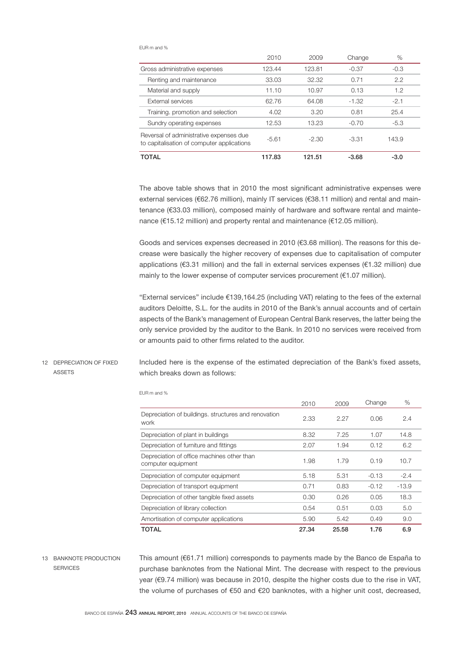#### EUR m and %

|                                                                                       | 2010    | 2009    | Change  | $\%$   |
|---------------------------------------------------------------------------------------|---------|---------|---------|--------|
| Gross administrative expenses                                                         | 123.44  | 123.81  | $-0.37$ | $-0.3$ |
| Renting and maintenance                                                               | 33.03   | 32.32   | 0.71    | 2.2    |
| Material and supply                                                                   | 11.10   | 10.97   | 0.13    | 1.2    |
| External services                                                                     | 62.76   | 64.08   | $-1.32$ | $-2.1$ |
| Training. promotion and selection                                                     | 4.02    | 3.20    | 0.81    | 25.4   |
| Sundry operating expenses                                                             | 12.53   | 13.23   | $-0.70$ | $-5.3$ |
| Reversal of administrative expenses due<br>to capitalisation of computer applications | $-5.61$ | $-2.30$ | $-3.31$ | 143.9  |
| TOTAL                                                                                 | 117.83  | 121.51  | $-3.68$ | $-3.0$ |

The above table shows that in 2010 the most significant administrative expenses were external services (€62.76 million), mainly IT services (€38.11 million) and rental and maintenance (€33.03 million), composed mainly of hardware and software rental and maintenance (€15.12 million) and property rental and maintenance (€12.05 million).

Goods and services expenses decreased in 2010 (€3.68 million). The reasons for this decrease were basically the higher recovery of expenses due to capitalisation of computer applications (€3.31 million) and the fall in external services expenses (€1.32 million) due mainly to the lower expense of computer services procurement (€1.07 million).

"External services" include €139,164.25 (including VAT) relating to the fees of the external auditors Deloitte, S.L. for the audits in 2010 of the Bank's annual accounts and of certain aspects of the Bank's management of European Central Bank reserves, the latter being the only service provided by the auditor to the Bank. In 2010 no services were received from or amounts paid to other firms related to the auditor.

### 12 DEPRECIATION OF FIXED ASSETS

Included here is the expense of the estimated depreciation of the Bank's fixed assets, which breaks down as follows:

|                                                                  | 2010  | 2009  | Change  | %       |  |
|------------------------------------------------------------------|-------|-------|---------|---------|--|
| Depreciation of buildings. structures and renovation<br>work     | 2.33  | 2.27  | 0.06    | 2.4     |  |
| Depreciation of plant in buildings                               | 8.32  | 7.25  | 1.07    | 14.8    |  |
| Depreciation of furniture and fittings                           | 2.07  | 1.94  | 0.12    | 6.2     |  |
| Depreciation of office machines other than<br>computer equipment | 1.98  | 1.79  | 0.19    | 10.7    |  |
| Depreciation of computer equipment                               | 5.18  | 5.31  | $-0.13$ | $-2.4$  |  |
| Depreciation of transport equipment                              | 0.71  | 0.83  | $-0.12$ | $-13.9$ |  |
| Depreciation of other tangible fixed assets                      | 0.30  | 0.26  | 0.05    | 18.3    |  |
| Depreciation of library collection                               | 0.54  | 0.51  | 0.03    | 5.0     |  |
| Amortisation of computer applications                            | 5.90  | 5.42  | 0.49    | 9.0     |  |
| <b>TOTAL</b>                                                     | 27.34 | 25.58 | 1.76    | 6.9     |  |

EUR m and %

# 13 BANKNOTE PRODUCTION **SERVICES**

This amount (€61.71 million) corresponds to payments made by the Banco de España to purchase banknotes from the National Mint. The decrease with respect to the previous year (€9.74 million) was because in 2010, despite the higher costs due to the rise in VAT, the volume of purchases of €50 and €20 banknotes, with a higher unit cost, decreased,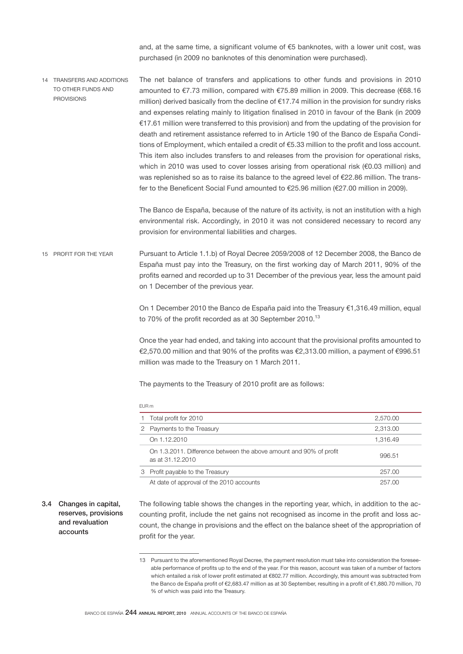and, at the same time, a significant volume of €5 banknotes, with a lower unit cost, was purchased (in 2009 no banknotes of this denomination were purchased).

The net balance of transfers and applications to other funds and provisions in 2010 amounted to €7.73 million, compared with €75.89 million in 2009. This decrease (€68.16 million) derived basically from the decline of €17.74 million in the provision for sundry risks and expenses relating mainly to litigation finalised in 2010 in favour of the Bank (in 2009 €17.61 million were transferred to this provision) and from the updating of the provision for death and retirement assistance referred to in Article 190 of the Banco de España Conditions of Employment, which entailed a credit of €5.33 million to the profit and loss account. This item also includes transfers to and releases from the provision for operational risks, which in 2010 was used to cover losses arising from operational risk (€0.03 million) and was replenished so as to raise its balance to the agreed level of €22.86 million. The transfer to the Beneficent Social Fund amounted to €25.96 million (€27.00 million in 2009). 14 TRANSFERS AND ADDITIONS TO OTHER FUNDS AND PROVISIONS

> The Banco de España, because of the nature of its activity, is not an institution with a high environmental risk. Accordingly, in 2010 it was not considered necessary to record any provision for environmental liabilities and charges.

Pursuant to Article 1.1.b) of Royal Decree 2059/2008 of 12 December 2008, the Banco de España must pay into the Treasury, on the first working day of March 2011, 90% of the profits earned and recorded up to 31 December of the previous year, less the amount paid on 1 December of the previous year. 15 PROFIT FOR THE YEAR

> On 1 December 2010 the Banco de España paid into the Treasury €1,316.49 million, equal to 70% of the profit recorded as at 30 September 2010.<sup>13</sup>

> Once the year had ended, and taking into account that the provisional profits amounted to €2,570.00 million and that 90% of the profits was €2,313.00 million, a payment of €996.51 million was made to the Treasury on 1 March 2011.

The payments to the Treasury of 2010 profit are as follows:

|   | FUR <sub>m</sub>                                                                       |          |  |  |  |  |  |
|---|----------------------------------------------------------------------------------------|----------|--|--|--|--|--|
|   | Total profit for 2010                                                                  | 2,570.00 |  |  |  |  |  |
| 2 | Payments to the Treasury                                                               | 2,313.00 |  |  |  |  |  |
|   | On 1.12.2010                                                                           | 1.316.49 |  |  |  |  |  |
|   | On 1.3.2011. Difference between the above amount and 90% of profit<br>as at 31.12.2010 | 996.51   |  |  |  |  |  |
| 3 | Profit payable to the Treasury                                                         | 257.00   |  |  |  |  |  |
|   | At date of approval of the 2010 accounts                                               | 257.00   |  |  |  |  |  |

3.4 Changes in capital, reserves, provisions and revaluation accounts

The following table shows the changes in the reporting year, which, in addition to the accounting profit, include the net gains not recognised as income in the profit and loss account, the change in provisions and the effect on the balance sheet of the appropriation of profit for the year.

<sup>13</sup> Pursuant to the aforementioned Royal Decree, the payment resolution must take into consideration the foreseeable performance of profits up to the end of the year. For this reason, account was taken of a number of factors which entailed a risk of lower profit estimated at €802.77 million. Accordingly, this amount was subtracted from the Banco de España profit of €2,683.47 million as at 30 September, resulting in a profit of €1,880.70 million, 70 % of which was paid into the Treasury.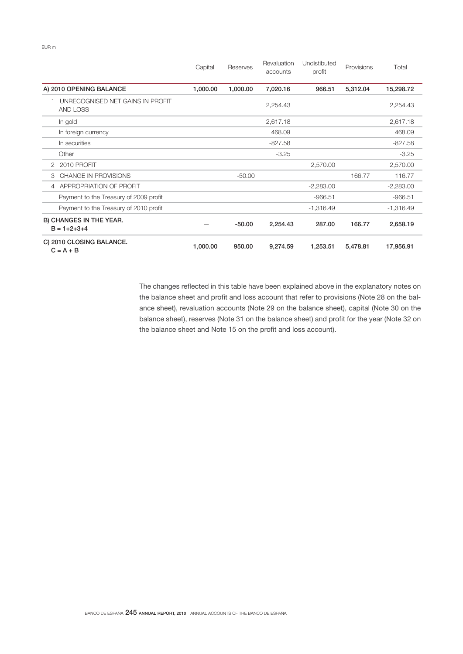EUR m

|                                                | Capital  | Reserves | Revaluation<br>accounts | Undistibuted<br>profit | Provisions | Total       |
|------------------------------------------------|----------|----------|-------------------------|------------------------|------------|-------------|
| A) 2010 OPENING BALANCE                        | 1,000.00 | 1,000.00 | 7,020.16                | 966.51                 | 5,312.04   | 15,298.72   |
| UNRECOGNISED NET GAINS IN PROFIT<br>AND LOSS   |          |          | 2,254.43                |                        |            | 2,254.43    |
| In gold                                        |          |          | 2,617.18                |                        |            | 2,617.18    |
| In foreign currency                            |          |          | 468.09                  |                        |            | 468.09      |
| In securities                                  |          |          | $-827.58$               |                        |            | $-827.58$   |
| Other                                          |          |          | $-3.25$                 |                        |            | $-3.25$     |
| 2 2010 PROFIT                                  |          |          |                         | 2,570.00               |            | 2,570.00    |
| CHANGE IN PROVISIONS<br>3                      |          | $-50.00$ |                         |                        | 166.77     | 116.77      |
| APPROPRIATION OF PROFIT<br>4                   |          |          |                         | $-2,283.00$            |            | $-2,283.00$ |
| Payment to the Treasury of 2009 profit         |          |          |                         | $-966.51$              |            | $-966.51$   |
| Payment to the Treasury of 2010 profit         |          |          |                         | $-1,316.49$            |            | $-1,316.49$ |
| B) CHANGES IN THE YEAR.<br>$B = 1 + 2 + 3 + 4$ |          | $-50.00$ | 2,254.43                | 287.00                 | 166.77     | 2,658.19    |
| C) 2010 CLOSING BALANCE.<br>$C = A + B$        | 1,000.00 | 950.00   | 9,274.59                | 1,253.51               | 5,478.81   | 17,956.91   |

The changes reflected in this table have been explained above in the explanatory notes on the balance sheet and profit and loss account that refer to provisions (Note 28 on the balance sheet), revaluation accounts (Note 29 on the balance sheet), capital (Note 30 on the balance sheet), reserves (Note 31 on the balance sheet) and profit for the year (Note 32 on the balance sheet and Note 15 on the profit and loss account).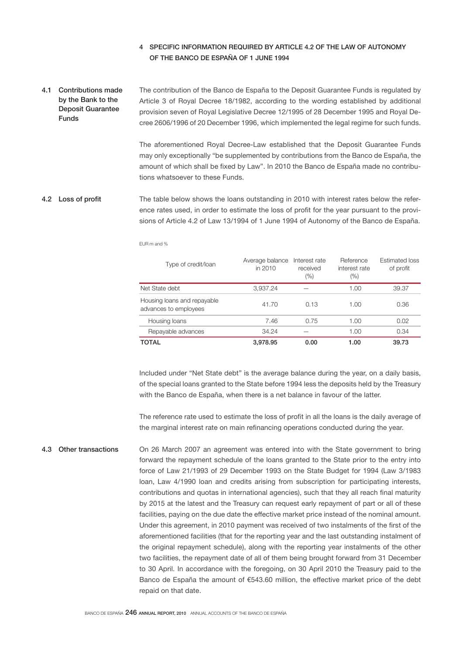# 4 SPECIFIC INFORMATION REQUIRED BY ARTICLE 4.2 OF THE LAW OF AUTONOMY OF THE BANCO DE ESPAÑA OF 1 JUNE 1994

The contribution of the Banco de España to the Deposit Guarantee Funds is regulated by Article 3 of Royal Decree 18/1982, according to the wording established by additional provision seven of Royal Legislative Decree 12/1995 of 28 December 1995 and Royal Decree 2606/1996 of 20 December 1996, which implemented the legal regime for such funds. 4.1 Contributions made by the Bank to the Deposit Guarantee Funds

> The aforementioned Royal Decree-Law established that the Deposit Guarantee Funds may only exceptionally "be supplemented by contributions from the Banco de España, the amount of which shall be fixed by Law". In 2010 the Banco de España made no contributions whatsoever to these Funds.

The table below shows the loans outstanding in 2010 with interest rates below the reference rates used, in order to estimate the loss of profit for the year pursuant to the provisions of Article 4.2 of Law 13/1994 of 1 June 1994 of Autonomy of the Banco de España. 4.2 Loss of profit

EUR m and %

| Type of credit/loan                                  | Average balance<br>in 2010 | Interest rate<br>received<br>(%) | Reference<br>interest rate<br>$(\% )$ | <b>Estimated loss</b><br>of profit |
|------------------------------------------------------|----------------------------|----------------------------------|---------------------------------------|------------------------------------|
| Net State debt                                       | 3,937.24                   |                                  | 1.00                                  | 39.37                              |
| Housing loans and repayable<br>advances to employees | 41.70                      | 0.13                             | 1.00                                  | 0.36                               |
| Housing loans                                        | 7.46                       | 0.75                             | 1.00                                  | 0.02                               |
| Repayable advances                                   | 34.24                      |                                  | 1.00                                  | 0.34                               |
| TOTAL                                                | 3,978.95                   | 0.00                             | 1.00                                  | 39.73                              |

Included under "Net State debt" is the average balance during the year, on a daily basis, of the special loans granted to the State before 1994 less the deposits held by the Treasury with the Banco de España, when there is a net balance in favour of the latter.

The reference rate used to estimate the loss of profit in all the loans is the daily average of the marginal interest rate on main refinancing operations conducted during the year.

On 26 March 2007 an agreement was entered into with the State government to bring forward the repayment schedule of the loans granted to the State prior to the entry into force of Law 21/1993 of 29 December 1993 on the State Budget for 1994 (Law 3/1983 loan, Law 4/1990 loan and credits arising from subscription for participating interests, contributions and quotas in international agencies), such that they all reach final maturity by 2015 at the latest and the Treasury can request early repayment of part or all of these facilities, paying on the due date the effective market price instead of the nominal amount. Under this agreement, in 2010 payment was received of two instalments of the first of the aforementioned facilities (that for the reporting year and the last outstanding instalment of the original repayment schedule), along with the reporting year instalments of the other two facilities, the repayment date of all of them being brought forward from 31 December to 30 April. In accordance with the foregoing, on 30 April 2010 the Treasury paid to the Banco de España the amount of €543.60 million, the effective market price of the debt repaid on that date. 4.3 Other transactions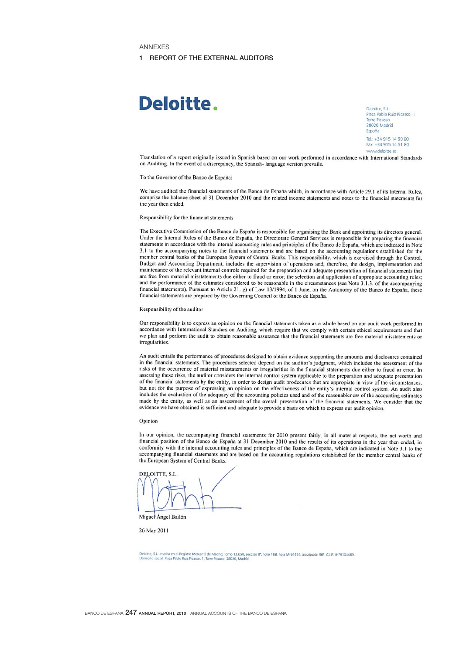#### ANNEXES

#### 1 REPORT OF THE EXTERNAL AUDITORS

# Deloitte.

Deloitte, S.L. Plaza Pablo Ruiz Picasso, 1 Torre Picasso España

Tel: +34,915,14,50.00 Fax: +34 915 14 51 80 www.deloitte.es

Translation of a report originally issued in Spanish based on our work performed in accordance with International Standards on Auditing. In the event of a discrepancy, the Spanish- language version prevails.

To the Governor of the Banco de España:

We have audited the financial statements of the Banco de España which, in accordance with Article 29.1 of its Internal Rules, comprise the balance sheet al 31 December 2010 and the related income statements and notes to the financial statements for the year then ended

#### Responsibility for the financial statements

The Executive Commission of the Banco de España is responsible for organising the Bank and appointing its directors general. Under the Internal Rules of the Banco de España, the Directorate General Services is responsible for preparing the financial statements in accordance with the internal accounting rules and principles of the Banco de España, which are indicated in Note 3.1 to the accompanying notes to the financial statements and are based on the accounting regulations established for the member central banks of the European System of Central Banks. This responsibility, which is exercised through the Control, Budget and Accounting Department, includes the supervision of operations and, therefore, the design, implementation and maintenance of the relevant internal controls required for the preparation and adequate presentation of financial statements that are free from material misstatements due either to fraud or error; the selection and application of appropiate accounting rules; and the performance of the estimates considered to be reasonable in the circumstances (see Note 3.1.3. of the accompanying financial statements). Pursuant to Article 21. g) of Law 13/1994, of 1 June, on the Autonomy of the Banco de España, these financial statements are prepared by the Governing Council of the Banco de España.

#### Responsibility of the auditor

Our responsibility is to express an opinion on the financial statements taken as a whole based on our audit work performed in accordance with International Standars on Auditing, which require that we comply with certain ethical requirements and that we plan and perform the audit to obtain reasonable assurance that the financial statements are free material misstatements or irregularities.

An audit entails the performance of procedures designed to obtain evidence supponting the amounts and disclosures contained in the financial statements. The procedures selected depend on the auditor's judgment, which includes the assessment of the risks of the occurrence of material misstatements or irregularities in the financial statements due either to fraud or error. In assessing these risks, the auditor considers the internal control system applicable to the preparation and adequate presentation of the financial statements by the entity, in order to design audit prodecures that are appropiate in view of the circumstances, but not for the purpose of expressing an opinion on the effectiveness of the entity's internal control system. An audit also includes the evaluation of the adequacy of the accounting policies used and of the reasonableness of the accounting estimates made by the entity, as well as an assessment of the overall presentation of the financial statements. We consider that the evidence we have obtained is sufficient and adequate to provide a basis on which to express our audit opinion.

#### Opinion

In our opinion, the accompanying financial statements for 2010 present fairly, in all material respects, the net worth and financial position of the Banco de España at 31 December 2010 and the results of its operations in the year then ended, in conformity with the internal accounting rules and principles of the Banco de España, which are indicated in Note 3.1 to the accompanying financial statements and are based on the accounting regulations established for the member central banks of the European System of Central Banks.

**DELOITTE SI** 

Miguel Angel Bailón

26 May 2011

le, S.L. Inscrita en el Registro Mercantil de Madrid, tomo 13.650, sección 8ª, follo 188, hoja M-54414, inscripción 96ª. C.I.F.: 8-79104469.<br>:ilio social: Plaza Pablo Ruiz Picasso, 1, Torre Picasso, 28020, Madrid.